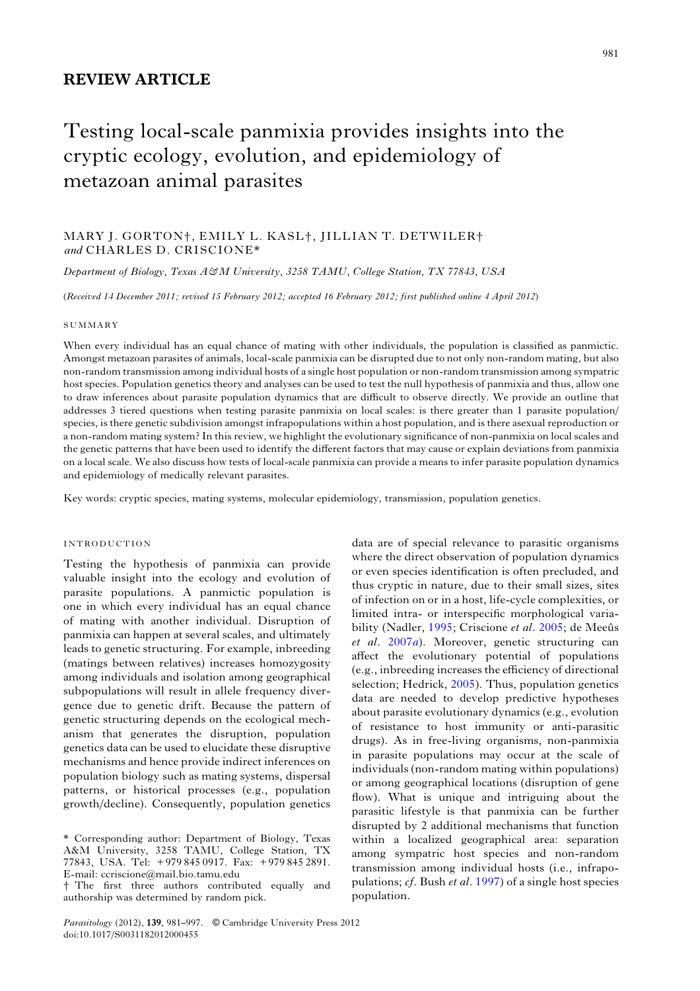## REVIEW ARTICLE

# Testing local-scale panmixia provides insights into the cryptic ecology, evolution, and epidemiology of

## metazoan animal parasites

## MARY J. GORTON†, EMILY L. KASL†, JILLIAN T. DETWILER† and CHARLES D. CRISCIONE\*

Department of Biology, Texas A&M University, 3258 TAMU, College Station, TX 77843, USA

(Received 14 December 2011; revised 15 February 2012; accepted 16 February 2012; first published online 4 April 2012)

#### SUMMARY

When every individual has an equal chance of mating with other individuals, the population is classified as panmictic. Amongst metazoan parasites of animals, local-scale panmixia can be disrupted due to not only non-random mating, but also non-random transmission among individual hosts of a single host population or non-random transmission among sympatric host species. Population genetics theory and analyses can be used to test the null hypothesis of panmixia and thus, allow one to draw inferences about parasite population dynamics that are difficult to observe directly. We provide an outline that addresses 3 tiered questions when testing parasite panmixia on local scales: is there greater than 1 parasite population/ species, is there genetic subdivision amongst infrapopulations within a host population, and is there asexual reproduction or a non-random mating system? In this review, we highlight the evolutionary significance of non-panmixia on local scales and the genetic patterns that have been used to identify the different factors that may cause or explain deviations from panmixia on a local scale. We also discuss how tests of local-scale panmixia can provide a means to infer parasite population dynamics and epidemiology of medically relevant parasites.

Key words: cryptic species, mating systems, molecular epidemiology, transmission, population genetics.

## INTRODUCTION

Testing the hypothesis of panmixia can provide valuable insight into the ecology and evolution of parasite populations. A panmictic population is one in which every individual has an equal chance of mating with another individual. Disruption of panmixia can happen at several scales, and ultimately leads to genetic structuring. For example, inbreeding (matings between relatives) increases homozygosity among individuals and isolation among geographical subpopulations will result in allele frequency divergence due to genetic drift. Because the pattern of genetic structuring depends on the ecological mechanism that generates the disruption, population genetics data can be used to elucidate these disruptive mechanisms and hence provide indirect inferences on population biology such as mating systems, dispersal patterns, or historical processes (e.g., population growth/decline). Consequently, population genetics

Parasitology (2012), 139, 981–997. *©* Cambridge University Press 2012 doi:10.1017/S0031182012000455

data are of special relevance to parasitic organisms where the direct observation of population dynamics or even species identification is often precluded, and thus cryptic in nature, due to their small sizes, sites of infection on or in a host, life-cycle complexities, or limited intra- or interspecific morphological varia-bility (Nadler, [1995;](#page-15-0) Criscione et al. [2005;](#page-14-0) de Meeûs et al. [2007](#page-14-0)a). Moreover, genetic structuring can affect the evolutionary potential of populations (e.g., inbreeding increases the efficiency of directional selection; Hedrick, [2005\)](#page-15-0). Thus, population genetics data are needed to develop predictive hypotheses about parasite evolutionary dynamics (e.g., evolution of resistance to host immunity or anti-parasitic drugs). As in free-living organisms, non-panmixia in parasite populations may occur at the scale of individuals (non-random mating within populations) or among geographical locations (disruption of gene flow). What is unique and intriguing about the parasitic lifestyle is that panmixia can be further disrupted by 2 additional mechanisms that function within a localized geographical area: separation among sympatric host species and non-random transmission among individual hosts (i.e., infrapopulations; cf. Bush et al. [1997\)](#page-14-0) of a single host species population.

<sup>\*</sup> Corresponding author: Department of Biology, Texas A&M University, 3258 TAMU, College Station, TX 77843, USA. Tel: + 979 845 0917. Fax: + 979 845 2891. E-mail: ccriscione@mail.bio.tamu.edu

<sup>†</sup> The first three authors contributed equally and authorship was determined by random pick.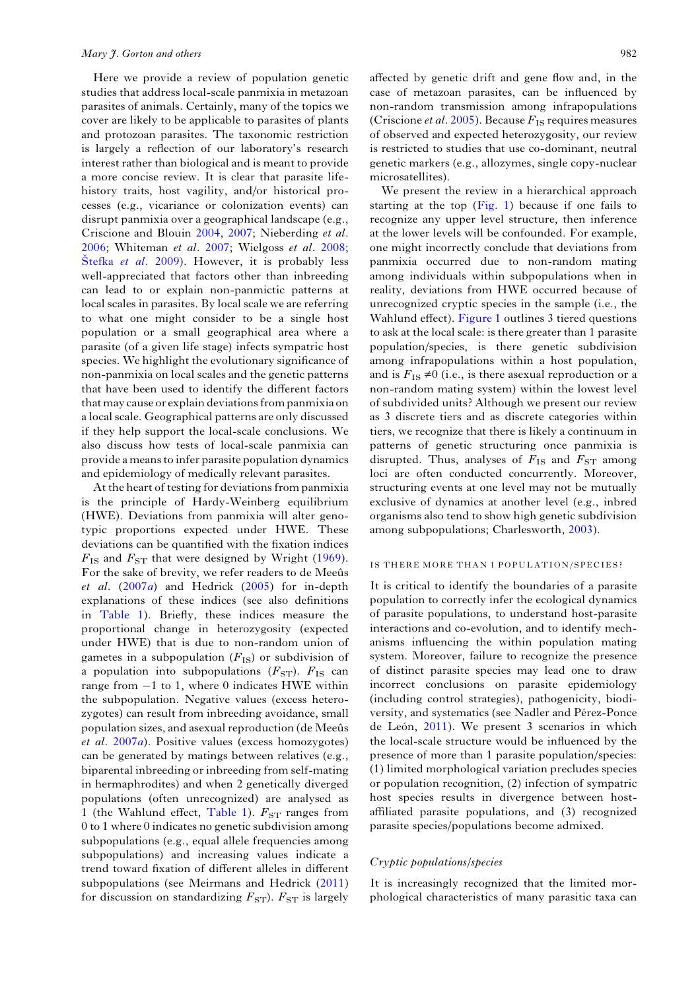Here we provide a review of population genetic studies that address local-scale panmixia in metazoan parasites of animals. Certainly, many of the topics we cover are likely to be applicable to parasites of plants and protozoan parasites. The taxonomic restriction is largely a reflection of our laboratory's research interest rather than biological and is meant to provide a more concise review. It is clear that parasite lifehistory traits, host vagility, and/or historical processes (e.g., vicariance or colonization events) can disrupt panmixia over a geographical landscape (e.g., Criscione and Blouin [2004](#page-14-0), [2007;](#page-14-0) Nieberding et al. [2006](#page-15-0); Whiteman et al. [2007](#page-16-0); Wielgoss et al. [2008](#page-16-0); Štefka et al[. 2009\)](#page-16-0). However, it is probably less well-appreciated that factors other than inbreeding can lead to or explain non-panmictic patterns at local scales in parasites. By local scale we are referring to what one might consider to be a single host population or a small geographical area where a parasite (of a given life stage) infects sympatric host species. We highlight the evolutionary significance of non-panmixia on local scales and the genetic patterns that have been used to identify the different factors that may cause or explain deviations from panmixia on a local scale. Geographical patterns are only discussed if they help support the local-scale conclusions. We also discuss how tests of local-scale panmixia can provide a means to infer parasite population dynamics and epidemiology of medically relevant parasites.

At the heart of testing for deviations from panmixia is the principle of Hardy-Weinberg equilibrium (HWE). Deviations from panmixia will alter genotypic proportions expected under HWE. These deviations can be quantified with the fixation indices  $F_{IS}$  and  $F_{ST}$  that were designed by Wright [\(1969\)](#page-16-0). For the sake of brevity, we refer readers to de Meeûs et al.  $(2007a)$  $(2007a)$  and Hedrick  $(2005)$  $(2005)$  for in-depth explanations of these indices (see also definitions in [Table 1](#page-2-0)). Briefly, these indices measure the proportional change in heterozygosity (expected under HWE) that is due to non-random union of gametes in a subpopulation  $(F_{IS})$  or subdivision of a population into subpopulations  $(F_{ST})$ .  $F_{IS}$  can range from  $-1$  to 1, where 0 indicates HWE within the subpopulation. Negative values (excess heterozygotes) can result from inbreeding avoidance, small population sizes, and asexual reproduction (de Meeûs et al. [2007](#page-14-0)a). Positive values (excess homozygotes) can be generated by matings between relatives (e.g., biparental inbreeding or inbreeding from self-mating in hermaphrodites) and when 2 genetically diverged populations (often unrecognized) are analysed as 1 (the Wahlund effect, [Table 1\)](#page-2-0).  $F_{ST}$  ranges from 0 to 1 where 0 indicates no genetic subdivision among subpopulations (e.g., equal allele frequencies among subpopulations) and increasing values indicate a trend toward fixation of different alleles in different subpopulations (see Meirmans and Hedrick [\(2011\)](#page-15-0) for discussion on standardizing  $F_{ST}$ ).  $F_{ST}$  is largely

affected by genetic drift and gene flow and, in the case of metazoan parasites, can be influenced by non-random transmission among infrapopulations (Criscione et al. [2005\)](#page-14-0). Because  $F_{IS}$  requires measures of observed and expected heterozygosity, our review is restricted to studies that use co-dominant, neutral genetic markers (e.g., allozymes, single copy-nuclear microsatellites).

We present the review in a hierarchical approach starting at the top [\(Fig. 1](#page-3-0)) because if one fails to recognize any upper level structure, then inference at the lower levels will be confounded. For example, one might incorrectly conclude that deviations from panmixia occurred due to non-random mating among individuals within subpopulations when in reality, deviations from HWE occurred because of unrecognized cryptic species in the sample (i.e., the Wahlund effect). [Figure 1](#page-3-0) outlines 3 tiered questions to ask at the local scale: is there greater than 1 parasite population/species, is there genetic subdivision among infrapopulations within a host population, and is  $F_{\text{IS}} \neq 0$  (i.e., is there as exual reproduction or a non-random mating system) within the lowest level of subdivided units? Although we present our review as 3 discrete tiers and as discrete categories within tiers, we recognize that there is likely a continuum in patterns of genetic structuring once panmixia is disrupted. Thus, analyses of  $F_{IS}$  and  $F_{ST}$  among loci are often conducted concurrently. Moreover, structuring events at one level may not be mutually exclusive of dynamics at another level (e.g., inbred organisms also tend to show high genetic subdivision among subpopulations; Charlesworth, [2003\)](#page-14-0).

#### IS THERE MORE THAN 1 POPULATION/SPECIES?

It is critical to identify the boundaries of a parasite population to correctly infer the ecological dynamics of parasite populations, to understand host-parasite interactions and co-evolution, and to identify mechanisms influencing the within population mating system. Moreover, failure to recognize the presence of distinct parasite species may lead one to draw incorrect conclusions on parasite epidemiology (including control strategies), pathogenicity, biodiversity, and systematics (see Nadler and Pérez-Ponce de León, [2011\)](#page-15-0). We present 3 scenarios in which the local-scale structure would be influenced by the presence of more than 1 parasite population/species: (1) limited morphological variation precludes species or population recognition, (2) infection of sympatric host species results in divergence between hostaffiliated parasite populations, and (3) recognized parasite species/populations become admixed.

## Cryptic populations/species

It is increasingly recognized that the limited morphological characteristics of many parasitic taxa can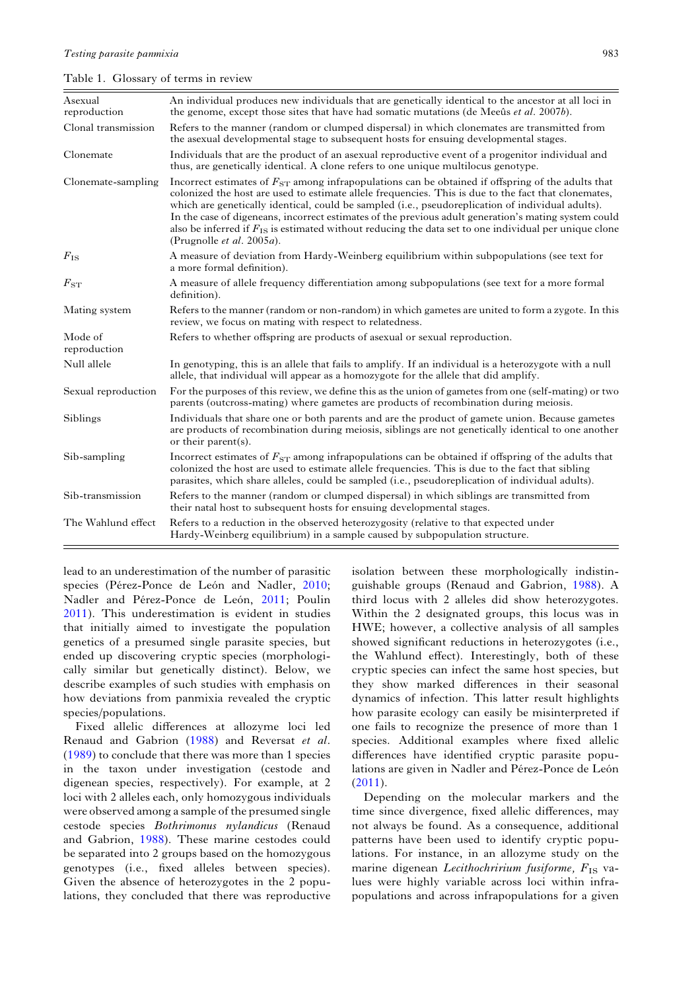#### <span id="page-2-0"></span>Table 1. Glossary of terms in review

| Asexual<br>reproduction | An individual produces new individuals that are genetically identical to the ancestor at all loci in<br>the genome, except those sites that have had somatic mutations (de Meeûs <i>et al.</i> 2007 <i>b</i> ).                                                                                                                                                                                                                                                                                                                                                                        |
|-------------------------|----------------------------------------------------------------------------------------------------------------------------------------------------------------------------------------------------------------------------------------------------------------------------------------------------------------------------------------------------------------------------------------------------------------------------------------------------------------------------------------------------------------------------------------------------------------------------------------|
| Clonal transmission     | Refers to the manner (random or clumped dispersal) in which clonemates are transmitted from<br>the asexual developmental stage to subsequent hosts for ensuing developmental stages.                                                                                                                                                                                                                                                                                                                                                                                                   |
| Clonemate               | Individuals that are the product of an asexual reproductive event of a progenitor individual and<br>thus, are genetically identical. A clone refers to one unique multilocus genotype.                                                                                                                                                                                                                                                                                                                                                                                                 |
| Clonemate-sampling      | Incorrect estimates of $F_{ST}$ among infrapopulations can be obtained if offspring of the adults that<br>colonized the host are used to estimate allele frequencies. This is due to the fact that clonemates,<br>which are genetically identical, could be sampled (i.e., pseudoreplication of individual adults).<br>In the case of digeneans, incorrect estimates of the previous adult generation's mating system could<br>also be inferred if $F_{1S}$ is estimated without reducing the data set to one individual per unique clone<br>(Prugnolle <i>et al.</i> 2005 <i>a</i> ). |
| $F_{\rm IS}$            | A measure of deviation from Hardy-Weinberg equilibrium within subpopulations (see text for<br>a more formal definition).                                                                                                                                                                                                                                                                                                                                                                                                                                                               |
| $F_{ST}$                | A measure of allele frequency differentiation among subpopulations (see text for a more formal<br>definition).                                                                                                                                                                                                                                                                                                                                                                                                                                                                         |
| Mating system           | Refers to the manner (random or non-random) in which gametes are united to form a zygote. In this<br>review, we focus on mating with respect to relatedness.                                                                                                                                                                                                                                                                                                                                                                                                                           |
| Mode of<br>reproduction | Refers to whether offspring are products of asexual or sexual reproduction.                                                                                                                                                                                                                                                                                                                                                                                                                                                                                                            |
| Null allele             | In genotyping, this is an allele that fails to amplify. If an individual is a heterozygote with a null<br>allele, that individual will appear as a homozygote for the allele that did amplify.                                                                                                                                                                                                                                                                                                                                                                                         |
| Sexual reproduction     | For the purposes of this review, we define this as the union of gametes from one (self-mating) or two<br>parents (outcross-mating) where gametes are products of recombination during meiosis.                                                                                                                                                                                                                                                                                                                                                                                         |
| Siblings                | Individuals that share one or both parents and are the product of gamete union. Because gametes<br>are products of recombination during meiosis, siblings are not genetically identical to one another<br>or their parent(s).                                                                                                                                                                                                                                                                                                                                                          |
| Sib-sampling            | Incorrect estimates of $F_{ST}$ among infrapopulations can be obtained if offspring of the adults that<br>colonized the host are used to estimate allele frequencies. This is due to the fact that sibling<br>parasites, which share alleles, could be sampled (i.e., pseudoreplication of individual adults).                                                                                                                                                                                                                                                                         |
| Sib-transmission        | Refers to the manner (random or clumped dispersal) in which siblings are transmitted from<br>their natal host to subsequent hosts for ensuing developmental stages.                                                                                                                                                                                                                                                                                                                                                                                                                    |
| The Wahlund effect      | Refers to a reduction in the observed heterozygosity (relative to that expected under<br>Hardy-Weinberg equilibrium) in a sample caused by subpopulation structure.                                                                                                                                                                                                                                                                                                                                                                                                                    |

lead to an underestimation of the number of parasitic species (Pérez-Ponce de León and Nadler, [2010](#page-15-0); Nadler and Pérez-Ponce de León, [2011;](#page-15-0) Poulin [2011\)](#page-15-0). This underestimation is evident in studies that initially aimed to investigate the population genetics of a presumed single parasite species, but ended up discovering cryptic species (morphologically similar but genetically distinct). Below, we describe examples of such studies with emphasis on how deviations from panmixia revealed the cryptic species/populations.

Fixed allelic differences at allozyme loci led Renaud and Gabrion [\(1988](#page-15-0)) and Reversat et al. [\(1989](#page-15-0)) to conclude that there was more than 1 species in the taxon under investigation (cestode and digenean species, respectively). For example, at 2 loci with 2 alleles each, only homozygous individuals were observed among a sample of the presumed single cestode species Bothrimonus nylandicus (Renaud and Gabrion, [1988\)](#page-15-0). These marine cestodes could be separated into 2 groups based on the homozygous genotypes (i.e., fixed alleles between species). Given the absence of heterozygotes in the 2 populations, they concluded that there was reproductive

isolation between these morphologically indistinguishable groups (Renaud and Gabrion, [1988](#page-15-0)). A third locus with 2 alleles did show heterozygotes. Within the 2 designated groups, this locus was in HWE; however, a collective analysis of all samples showed significant reductions in heterozygotes (i.e., the Wahlund effect). Interestingly, both of these cryptic species can infect the same host species, but they show marked differences in their seasonal dynamics of infection. This latter result highlights how parasite ecology can easily be misinterpreted if one fails to recognize the presence of more than 1 species. Additional examples where fixed allelic differences have identified cryptic parasite populations are given in Nadler and Pérez-Ponce de León [\(2011](#page-15-0)).

Depending on the molecular markers and the time since divergence, fixed allelic differences, may not always be found. As a consequence, additional patterns have been used to identify cryptic populations. For instance, in an allozyme study on the marine digenean Lecithochririum fusiforme,  $F_{IS}$  values were highly variable across loci within infrapopulations and across infrapopulations for a given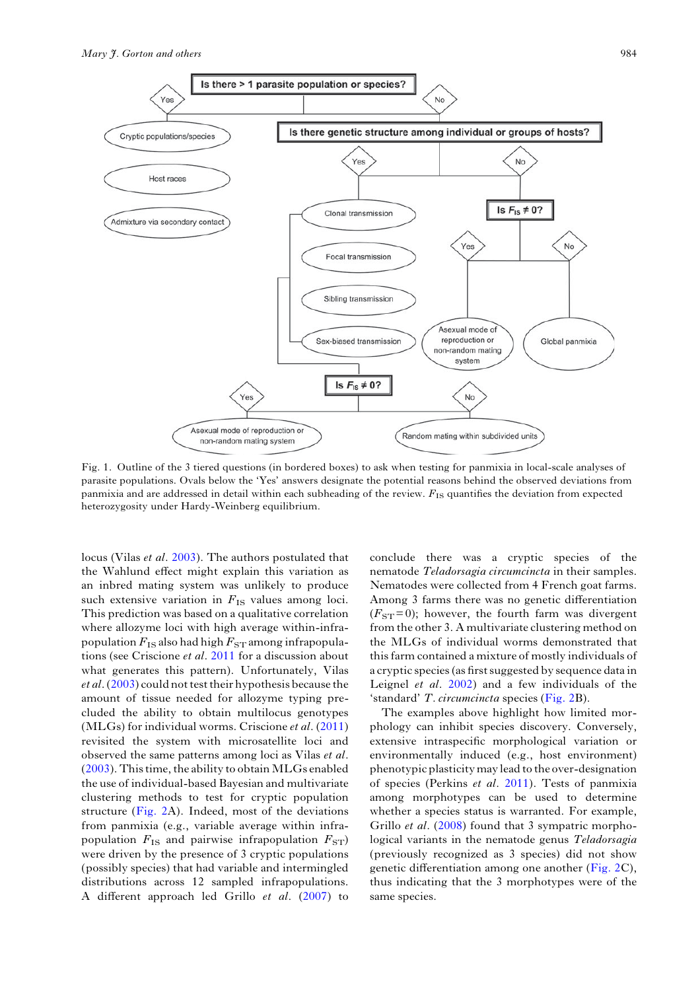<span id="page-3-0"></span>

Fig. 1. Outline of the 3 tiered questions (in bordered boxes) to ask when testing for panmixia in local-scale analyses of parasite populations. Ovals below the 'Yes' answers designate the potential reasons behind the observed deviations from panmixia and are addressed in detail within each subheading of the review.  $F_{1S}$  quantifies the deviation from expected heterozygosity under Hardy-Weinberg equilibrium.

locus (Vilas *et al.* [2003\)](#page-16-0). The authors postulated that the Wahlund effect might explain this variation as an inbred mating system was unlikely to produce such extensive variation in  $F_{IS}$  values among loci. This prediction was based on a qualitative correlation where allozyme loci with high average within-infrapopulation  $F_{IS}$  also had high  $F_{ST}$  among infrapopulations (see Criscione et al. [2011](#page-14-0) for a discussion about what generates this pattern). Unfortunately, Vilas et al. [\(2003\)](#page-16-0) could not test their hypothesis because the amount of tissue needed for allozyme typing precluded the ability to obtain multilocus genotypes (MLGs) for individual worms. Criscione et al. [\(2011\)](#page-14-0) revisited the system with microsatellite loci and observed the same patterns among loci as Vilas et al.  $(2003)$  $(2003)$  $(2003)$ . This time, the ability to obtain MLGs enabled the use of individual-based Bayesian and multivariate clustering methods to test for cryptic population structure [\(Fig. 2](#page-4-0)A). Indeed, most of the deviations from panmixia (e.g., variable average within infrapopulation  $F_{\text{IS}}$  and pairwise infrapopulation  $F_{\text{ST}}$ ) were driven by the presence of 3 cryptic populations (possibly species) that had variable and intermingled distributions across 12 sampled infrapopulations. A different approach led Grillo et al. [\(2007](#page-15-0)) to

conclude there was a cryptic species of the nematode Teladorsagia circumcincta in their samples. Nematodes were collected from 4 French goat farms. Among 3 farms there was no genetic differentiation  $(F_{ST} = 0)$ ; however, the fourth farm was divergent from the other 3. A multivariate clustering method on the MLGs of individual worms demonstrated that this farm contained a mixture of mostly individuals of a cryptic species (as first suggested by sequence data in Leignel et al. [2002\)](#page-15-0) and a few individuals of the 'standard' T. circumcincta species ([Fig. 2B](#page-4-0)).

The examples above highlight how limited morphology can inhibit species discovery. Conversely, extensive intraspecific morphological variation or environmentally induced (e.g., host environment) phenotypic plasticitymaylead to the over-designation of species (Perkins et al. [2011\)](#page-15-0). Tests of panmixia among morphotypes can be used to determine whether a species status is warranted. For example, Grillo et al. [\(2008](#page-15-0)) found that 3 sympatric morphological variants in the nematode genus Teladorsagia (previously recognized as 3 species) did not show genetic differentiation among one another ([Fig. 2C](#page-4-0)), thus indicating that the 3 morphotypes were of the same species.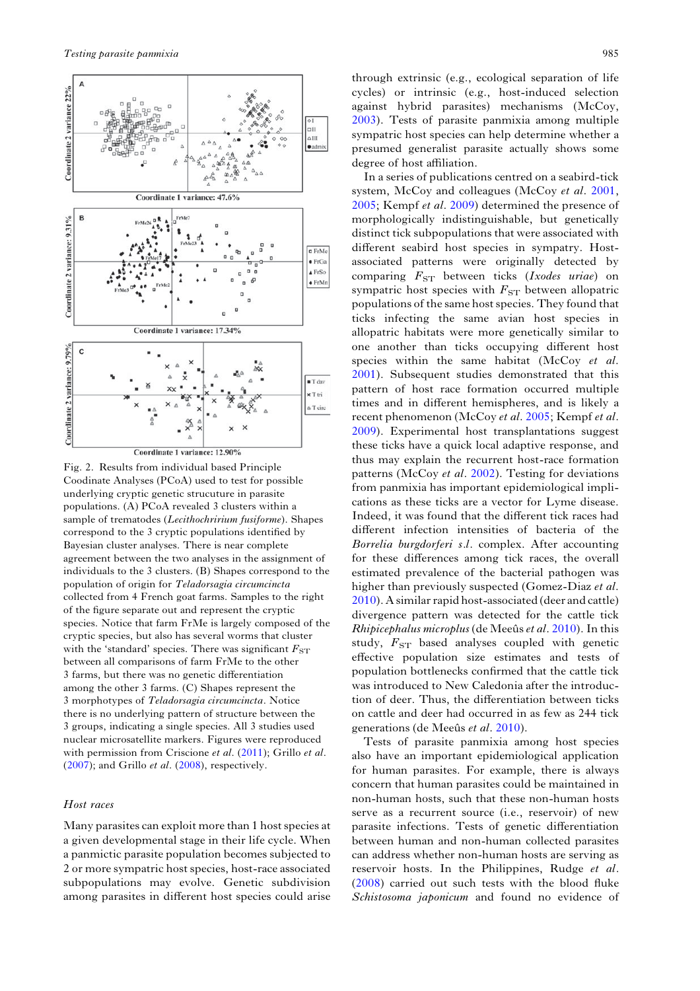<span id="page-4-0"></span>

Fig. 2. Results from individual based Principle Coodinate Analyses (PCoA) used to test for possible underlying cryptic genetic strucuture in parasite populations. (A) PCoA revealed 3 clusters within a sample of trematodes (Lecithochririum fusiforme). Shapes correspond to the 3 cryptic populations identified by Bayesian cluster analyses. There is near complete agreement between the two analyses in the assignment of individuals to the 3 clusters. (B) Shapes correspond to the population of origin for Teladorsagia circumcincta collected from 4 French goat farms. Samples to the right of the figure separate out and represent the cryptic species. Notice that farm FrMe is largely composed of the cryptic species, but also has several worms that cluster with the 'standard' species. There was significant  $F_{\mathrm{ST}}$ between all comparisons of farm FrMe to the other 3 farms, but there was no genetic differentiation among the other 3 farms. (C) Shapes represent the 3 morphotypes of Teladorsagia circumcincta. Notice there is no underlying pattern of structure between the 3 groups, indicating a single species. All 3 studies used nuclear microsatellite markers. Figures were reproduced with permission from Criscione et al. ([2011\)](#page-14-0); Grillo et al.  $(2007)$  $(2007)$ ; and Grillo et al.  $(2008)$  $(2008)$ , respectively.

#### Host races

Many parasites can exploit more than 1 host species at a given developmental stage in their life cycle. When a panmictic parasite population becomes subjected to 2 or more sympatric host species, host-race associated subpopulations may evolve. Genetic subdivision among parasites in different host species could arise

through extrinsic (e.g., ecological separation of life cycles) or intrinsic (e.g., host-induced selection against hybrid parasites) mechanisms (McCoy, [2003\)](#page-15-0). Tests of parasite panmixia among multiple sympatric host species can help determine whether a presumed generalist parasite actually shows some degree of host affiliation.

In a series of publications centred on a seabird-tick system, McCoy and colleagues (McCoy et al. [2001](#page-15-0), [2005;](#page-15-0) Kempf et al. [2009](#page-15-0)) determined the presence of morphologically indistinguishable, but genetically distinct tick subpopulations that were associated with different seabird host species in sympatry. Hostassociated patterns were originally detected by comparing  $F_{ST}$  between ticks (Ixodes uriae) on sympatric host species with  $F_{ST}$  between allopatric populations of the same host species. They found that ticks infecting the same avian host species in allopatric habitats were more genetically similar to one another than ticks occupying different host species within the same habitat (McCoy et al. [2001\)](#page-15-0). Subsequent studies demonstrated that this pattern of host race formation occurred multiple times and in different hemispheres, and is likely a recent phenomenon (McCoy et al. [2005;](#page-15-0) Kempf et al. [2009\)](#page-15-0). Experimental host transplantations suggest these ticks have a quick local adaptive response, and thus may explain the recurrent host-race formation patterns (McCoy et al. [2002\)](#page-15-0). Testing for deviations from panmixia has important epidemiological implications as these ticks are a vector for Lyme disease. Indeed, it was found that the different tick races had different infection intensities of bacteria of the Borrelia burgdorferi s.l. complex. After accounting for these differences among tick races, the overall estimated prevalence of the bacterial pathogen was higher than previously suspected (Gomez-Diaz et al. [2010\)](#page-14-0). A similar rapid host-associated (deer and cattle) divergence pattern was detected for the cattle tick Rhipicephalus microplus (de Meeûset al. [2010\)](#page-14-0). In this study,  $F_{ST}$  based analyses coupled with genetic effective population size estimates and tests of population bottlenecks confirmed that the cattle tick was introduced to New Caledonia after the introduction of deer. Thus, the differentiation between ticks on cattle and deer had occurred in as few as 244 tick generations (de Meeûs et al. [2010](#page-14-0)).

Tests of parasite panmixia among host species also have an important epidemiological application for human parasites. For example, there is always concern that human parasites could be maintained in non-human hosts, such that these non-human hosts serve as a recurrent source (i.e., reservoir) of new parasite infections. Tests of genetic differentiation between human and non-human collected parasites can address whether non-human hosts are serving as reservoir hosts. In the Philippines, Rudge et al. [\(2008](#page-16-0)) carried out such tests with the blood fluke Schistosoma japonicum and found no evidence of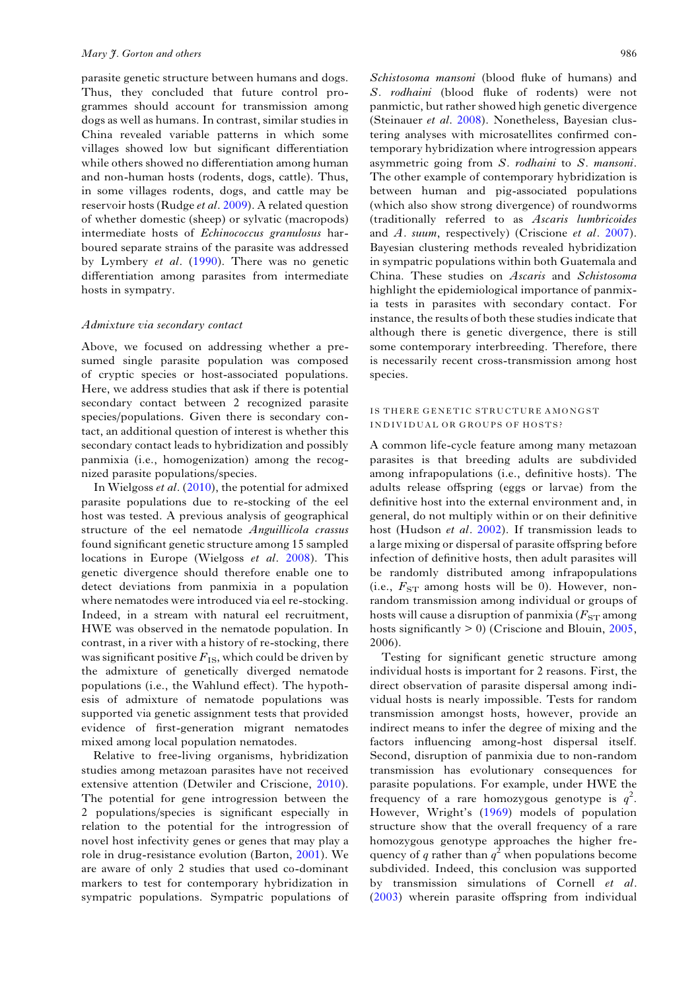parasite genetic structure between humans and dogs. Thus, they concluded that future control programmes should account for transmission among dogs as well as humans. In contrast, similar studies in China revealed variable patterns in which some villages showed low but significant differentiation while others showed no differentiation among human and non-human hosts (rodents, dogs, cattle). Thus, in some villages rodents, dogs, and cattle may be reservoir hosts (Rudge et al. [2009](#page-16-0)). A related question of whether domestic (sheep) or sylvatic (macropods) intermediate hosts of *Echinococcus granulosus* harboured separate strains of the parasite was addressed by Lymbery et al. ([1990\)](#page-15-0). There was no genetic differentiation among parasites from intermediate hosts in sympatry.

#### Admixture via secondary contact

Above, we focused on addressing whether a presumed single parasite population was composed of cryptic species or host-associated populations. Here, we address studies that ask if there is potential secondary contact between 2 recognized parasite species/populations. Given there is secondary contact, an additional question of interest is whether this secondary contact leads to hybridization and possibly panmixia (i.e., homogenization) among the recognized parasite populations/species.

In Wielgoss et al. ([2010\)](#page-16-0), the potential for admixed parasite populations due to re-stocking of the eel host was tested. A previous analysis of geographical structure of the eel nematode Anguillicola crassus found significant genetic structure among 15 sampled locations in Europe (Wielgoss et al. [2008\)](#page-16-0). This genetic divergence should therefore enable one to detect deviations from panmixia in a population where nematodes were introduced via eel re-stocking. Indeed, in a stream with natural eel recruitment, HWE was observed in the nematode population. In contrast, in a river with a history of re-stocking, there was significant positive  $F_{\text{IS}}$ , which could be driven by the admixture of genetically diverged nematode populations (i.e., the Wahlund effect). The hypothesis of admixture of nematode populations was supported via genetic assignment tests that provided evidence of first-generation migrant nematodes mixed among local population nematodes.

Relative to free-living organisms, hybridization studies among metazoan parasites have not received extensive attention (Detwiler and Criscione, [2010\)](#page-14-0). The potential for gene introgression between the 2 populations/species is significant especially in relation to the potential for the introgression of novel host infectivity genes or genes that may play a role in drug-resistance evolution (Barton, [2001\)](#page-14-0). We are aware of only 2 studies that used co-dominant markers to test for contemporary hybridization in sympatric populations. Sympatric populations of

Schistosoma mansoni (blood fluke of humans) and S. rodhaini (blood fluke of rodents) were not panmictic, but rather showed high genetic divergence (Steinauer et al. [2008](#page-16-0)). Nonetheless, Bayesian clustering analyses with microsatellites confirmed contemporary hybridization where introgression appears asymmetric going from S. rodhaini to S. mansoni. The other example of contemporary hybridization is between human and pig-associated populations (which also show strong divergence) of roundworms (traditionally referred to as Ascaris lumbricoides and A. suum, respectively) (Criscione et al. [2007](#page-14-0)). Bayesian clustering methods revealed hybridization in sympatric populations within both Guatemala and China. These studies on Ascaris and Schistosoma highlight the epidemiological importance of panmixia tests in parasites with secondary contact. For instance, the results of both these studies indicate that although there is genetic divergence, there is still some contemporary interbreeding. Therefore, there is necessarily recent cross-transmission among host species.

## IS THERE GENETIC STRUCTURE AMONGST INDIVIDUAL OR GROUPS OF HOSTS?

A common life-cycle feature among many metazoan parasites is that breeding adults are subdivided among infrapopulations (i.e., definitive hosts). The adults release offspring (eggs or larvae) from the definitive host into the external environment and, in general, do not multiply within or on their definitive host (Hudson et al. [2002](#page-15-0)). If transmission leads to a large mixing or dispersal of parasite offspring before infection of definitive hosts, then adult parasites will be randomly distributed among infrapopulations (i.e.,  $F_{ST}$  among hosts will be 0). However, nonrandom transmission among individual or groups of hosts will cause a disruption of panmixia  $(F_{ST}$  among hosts significantly  $> 0$ ) (Criscione and Blouin, [2005](#page-14-0), 2006).

Testing for significant genetic structure among individual hosts is important for 2 reasons. First, the direct observation of parasite dispersal among individual hosts is nearly impossible. Tests for random transmission amongst hosts, however, provide an indirect means to infer the degree of mixing and the factors influencing among-host dispersal itself. Second, disruption of panmixia due to non-random transmission has evolutionary consequences for parasite populations. For example, under HWE the frequency of a rare homozygous genotype is  $q^2$ . However, Wright's [\(1969\)](#page-16-0) models of population structure show that the overall frequency of a rare homozygous genotype approaches the higher frequency of q rather than  $q^2$  when populations become subdivided. Indeed, this conclusion was supported by transmission simulations of Cornell et al. ([2003\)](#page-14-0) wherein parasite offspring from individual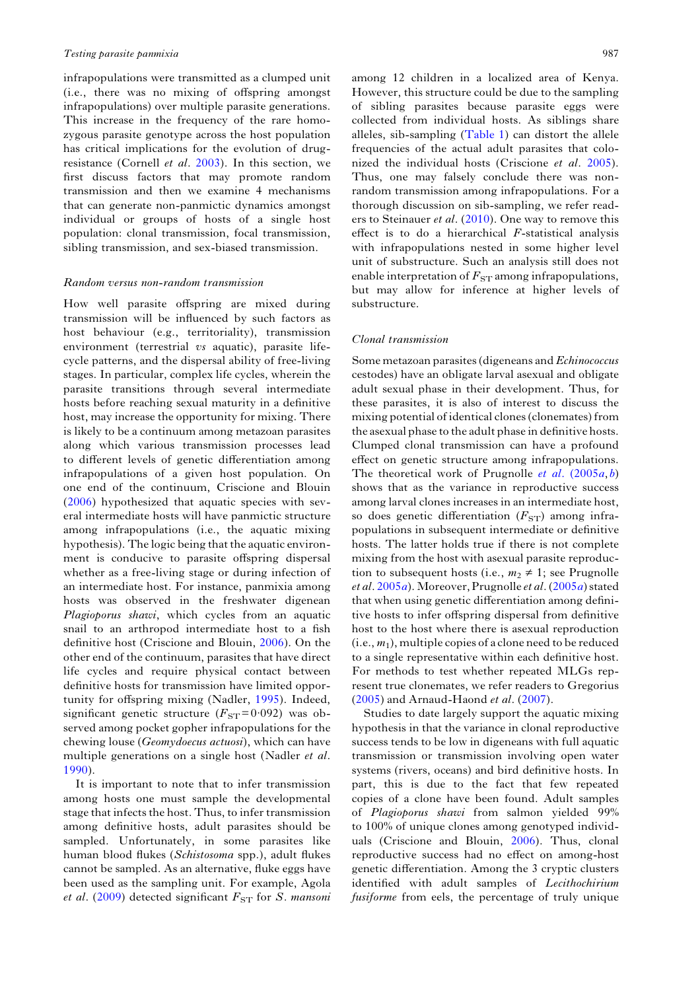infrapopulations were transmitted as a clumped unit (i.e., there was no mixing of offspring amongst infrapopulations) over multiple parasite generations. This increase in the frequency of the rare homozygous parasite genotype across the host population has critical implications for the evolution of drugresistance (Cornell et al. [2003](#page-14-0)). In this section, we first discuss factors that may promote random transmission and then we examine 4 mechanisms that can generate non-panmictic dynamics amongst individual or groups of hosts of a single host population: clonal transmission, focal transmission, sibling transmission, and sex-biased transmission.

#### Random versus non-random transmission

How well parasite offspring are mixed during transmission will be influenced by such factors as host behaviour (e.g., territoriality), transmission environment (terrestrial vs aquatic), parasite lifecycle patterns, and the dispersal ability of free-living stages. In particular, complex life cycles, wherein the parasite transitions through several intermediate hosts before reaching sexual maturity in a definitive host, may increase the opportunity for mixing. There is likely to be a continuum among metazoan parasites along which various transmission processes lead to different levels of genetic differentiation among infrapopulations of a given host population. On one end of the continuum, Criscione and Blouin [\(2006](#page-14-0)) hypothesized that aquatic species with several intermediate hosts will have panmictic structure among infrapopulations (i.e., the aquatic mixing hypothesis). The logic being that the aquatic environment is conducive to parasite offspring dispersal whether as a free-living stage or during infection of an intermediate host. For instance, panmixia among hosts was observed in the freshwater digenean Plagioporus shawi, which cycles from an aquatic snail to an arthropod intermediate host to a fish definitive host (Criscione and Blouin, [2006](#page-14-0)). On the other end of the continuum, parasites that have direct life cycles and require physical contact between definitive hosts for transmission have limited opportunity for offspring mixing (Nadler, [1995\)](#page-15-0). Indeed, significant genetic structure  $(F_{ST} = 0.092)$  was observed among pocket gopher infrapopulations for the chewing louse (Geomydoecus actuosi), which can have multiple generations on a single host (Nadler et al. [1990\)](#page-15-0).

It is important to note that to infer transmission among hosts one must sample the developmental stage that infects the host. Thus, to infer transmission among definitive hosts, adult parasites should be sampled. Unfortunately, in some parasites like human blood flukes (Schistosoma spp.), adult flukes cannot be sampled. As an alternative, fluke eggs have been used as the sampling unit. For example, Agola et al. [\(2009](#page-14-0)) detected significant  $F_{ST}$  for S. mansoni

among 12 children in a localized area of Kenya. However, this structure could be due to the sampling of sibling parasites because parasite eggs were collected from individual hosts. As siblings share alleles, sib-sampling ([Table 1](#page-2-0)) can distort the allele frequencies of the actual adult parasites that colonized the individual hosts (Criscione et al. [2005\)](#page-14-0). Thus, one may falsely conclude there was nonrandom transmission among infrapopulations. For a thorough discussion on sib-sampling, we refer readers to Steinauer *et al.* [\(2010](#page-16-0)). One way to remove this effect is to do a hierarchical  $F$ -statistical analysis with infrapopulations nested in some higher level unit of substructure. Such an analysis still does not enable interpretation of  $F_{ST}$  among infrapopulations, but may allow for inference at higher levels of substructure.

#### Clonal transmission

Some metazoan parasites (digeneans and Echinococcus cestodes) have an obligate larval asexual and obligate adult sexual phase in their development. Thus, for these parasites, it is also of interest to discuss the mixing potential of identical clones (clonemates) from the asexual phase to the adult phase in definitive hosts. Clumped clonal transmission can have a profound effect on genetic structure among infrapopulations. The theoretical work of Prugnolle *et al.*  $(2005a, b)$  $(2005a, b)$  $(2005a, b)$ shows that as the variance in reproductive success among larval clones increases in an intermediate host, so does genetic differentiation  $(F_{ST})$  among infrapopulations in subsequent intermediate or definitive hosts. The latter holds true if there is not complete mixing from the host with asexual parasite reproduction to subsequent hosts (i.e.,  $m_2 \neq 1$ ; see Prugnolle *et al.*  $2005a$  $2005a$ . Moreover, Prugnolle *et al.*  $(2005a)$  stated that when using genetic differentiation among definitive hosts to infer offspring dispersal from definitive host to the host where there is asexual reproduction  $(i.e., m<sub>1</sub>)$ , multiple copies of a clone need to be reduced to a single representative within each definitive host. For methods to test whether repeated MLGs represent true clonemates, we refer readers to Gregorius  $(2005)$  $(2005)$  and Arnaud-Haond et al.  $(2007)$  $(2007)$ .

Studies to date largely support the aquatic mixing hypothesis in that the variance in clonal reproductive success tends to be low in digeneans with full aquatic transmission or transmission involving open water systems (rivers, oceans) and bird definitive hosts. In part, this is due to the fact that few repeated copies of a clone have been found. Adult samples of Plagioporus shawi from salmon yielded 99% to 100% of unique clones among genotyped individuals (Criscione and Blouin, [2006](#page-14-0)). Thus, clonal reproductive success had no effect on among-host genetic differentiation. Among the 3 cryptic clusters identified with adult samples of Lecithochirium fusiforme from eels, the percentage of truly unique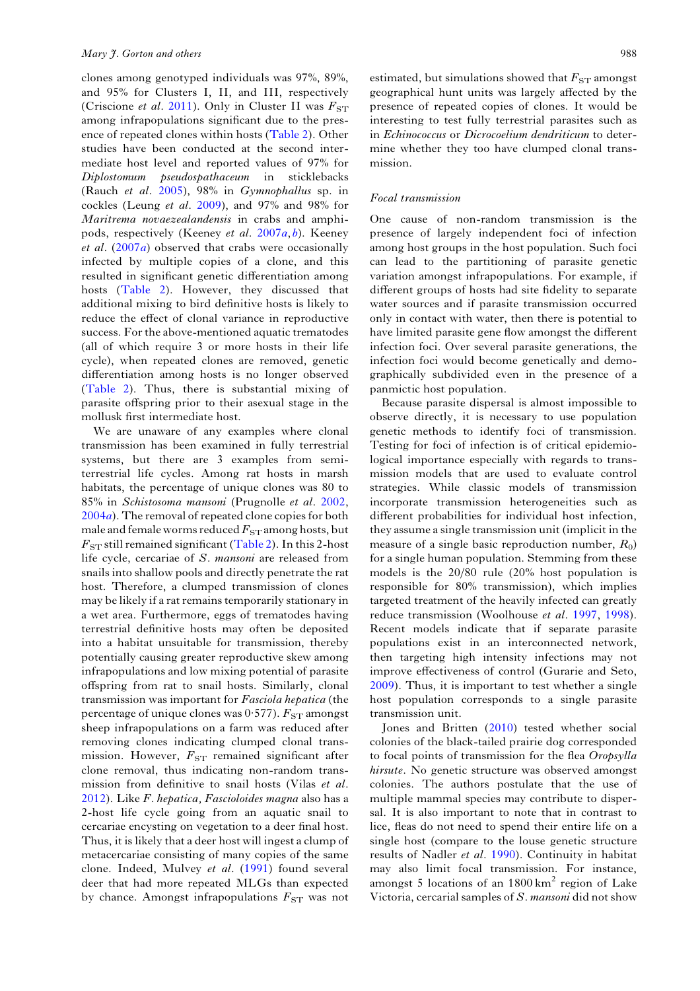clones among genotyped individuals was 97%, 89%, and 95% for Clusters I, II, and III, respectively (Criscione et al. [2011\)](#page-14-0). Only in Cluster II was  $F_{ST}$ among infrapopulations significant due to the presence of repeated clones within hosts ([Table 2\)](#page-8-0). Other studies have been conducted at the second intermediate host level and reported values of 97% for Diplostomum pseudospathaceum in sticklebacks (Rauch et al. [2005\)](#page-15-0), 98% in Gymnophallus sp. in cockles (Leung et al. [2009](#page-15-0)), and 97% and 98% for Maritrema novaezealandensis in crabs and amphipods, respectively (Keeney *et al.* [2007](#page-15-0) $a$ ,  $b$ ). Keeney *et al.*  $(2007a)$  $(2007a)$  observed that crabs were occasionally infected by multiple copies of a clone, and this resulted in significant genetic differentiation among hosts [\(Table 2\)](#page-8-0). However, they discussed that additional mixing to bird definitive hosts is likely to reduce the effect of clonal variance in reproductive success. For the above-mentioned aquatic trematodes (all of which require 3 or more hosts in their life cycle), when repeated clones are removed, genetic differentiation among hosts is no longer observed ([Table 2\)](#page-8-0). Thus, there is substantial mixing of parasite offspring prior to their asexual stage in the mollusk first intermediate host.

We are unaware of any examples where clonal transmission has been examined in fully terrestrial systems, but there are 3 examples from semiterrestrial life cycles. Among rat hosts in marsh habitats, the percentage of unique clones was 80 to 85% in Schistosoma mansoni (Prugnolle et al. [2002](#page-15-0),  $2004a$  $2004a$ ). The removal of repeated clone copies for both male and female worms reduced  $F_{ST}$  among hosts, but  $F_{ST}$  still remained significant [\(Table 2\)](#page-8-0). In this 2-host life cycle, cercariae of S. mansoni are released from snails into shallow pools and directly penetrate the rat host. Therefore, a clumped transmission of clones may be likely if a rat remains temporarily stationary in a wet area. Furthermore, eggs of trematodes having terrestrial definitive hosts may often be deposited into a habitat unsuitable for transmission, thereby potentially causing greater reproductive skew among infrapopulations and low mixing potential of parasite offspring from rat to snail hosts. Similarly, clonal transmission was important for Fasciola hepatica (the percentage of unique clones was  $0.577$ ).  $F_{ST}$  amongst sheep infrapopulations on a farm was reduced after removing clones indicating clumped clonal transmission. However,  $F_{ST}$  remained significant after clone removal, thus indicating non-random transmission from definitive to snail hosts (Vilas et al. [2012](#page-16-0)). Like F. hepatica, Fascioloides magna also has a 2-host life cycle going from an aquatic snail to cercariae encysting on vegetation to a deer final host. Thus, it is likely that a deer host will ingest a clump of metacercariae consisting of many copies of the same clone. Indeed, Mulvey et al. [\(1991](#page-15-0)) found several deer that had more repeated MLGs than expected by chance. Amongst infrapopulations  $F_{ST}$  was not

estimated, but simulations showed that  $F_{ST}$  amongst geographical hunt units was largely affected by the presence of repeated copies of clones. It would be interesting to test fully terrestrial parasites such as in Echinococcus or Dicrocoelium dendriticum to determine whether they too have clumped clonal transmission.

#### Focal transmission

One cause of non-random transmission is the presence of largely independent foci of infection among host groups in the host population. Such foci can lead to the partitioning of parasite genetic variation amongst infrapopulations. For example, if different groups of hosts had site fidelity to separate water sources and if parasite transmission occurred only in contact with water, then there is potential to have limited parasite gene flow amongst the different infection foci. Over several parasite generations, the infection foci would become genetically and demographically subdivided even in the presence of a panmictic host population.

Because parasite dispersal is almost impossible to observe directly, it is necessary to use population genetic methods to identify foci of transmission. Testing for foci of infection is of critical epidemiological importance especially with regards to transmission models that are used to evaluate control strategies. While classic models of transmission incorporate transmission heterogeneities such as different probabilities for individual host infection, they assume a single transmission unit (implicit in the measure of a single basic reproduction number,  $R_0$ ) for a single human population. Stemming from these models is the 20/80 rule (20% host population is responsible for 80% transmission), which implies targeted treatment of the heavily infected can greatly reduce transmission (Woolhouse et al. [1997,](#page-16-0) [1998](#page-16-0)). Recent models indicate that if separate parasite populations exist in an interconnected network, then targeting high intensity infections may not improve effectiveness of control (Gurarie and Seto, [2009](#page-15-0)). Thus, it is important to test whether a single host population corresponds to a single parasite transmission unit.

Jones and Britten [\(2010](#page-15-0)) tested whether social colonies of the black-tailed prairie dog corresponded to focal points of transmission for the flea Oropsylla hirsute. No genetic structure was observed amongst colonies. The authors postulate that the use of multiple mammal species may contribute to dispersal. It is also important to note that in contrast to lice, fleas do not need to spend their entire life on a single host (compare to the louse genetic structure results of Nadler et al. [1990](#page-15-0)). Continuity in habitat may also limit focal transmission. For instance, amongst 5 locations of an  $1800 \text{ km}^2$  region of Lake Victoria, cercarial samples of S. mansoni did not show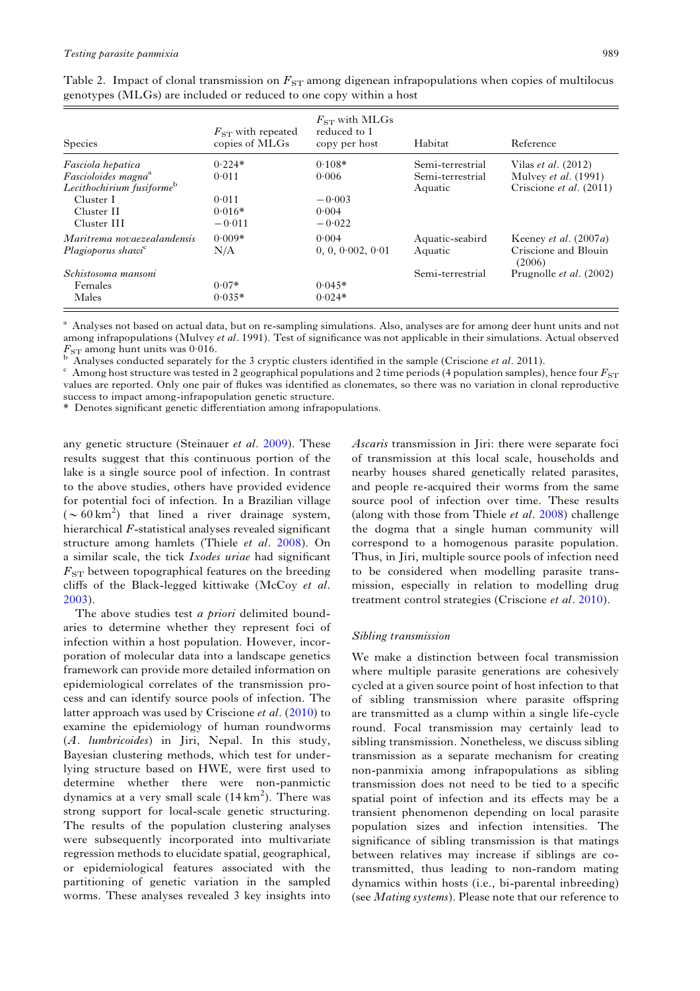| <b>Species</b>                                                                                                                          | $F_{ST}$ with repeated<br>copies of MLGs           | $F_{ST}$ with MLGs<br>reduced to 1<br>copy per host | Habitat                                         | Reference                                                                                          |
|-----------------------------------------------------------------------------------------------------------------------------------------|----------------------------------------------------|-----------------------------------------------------|-------------------------------------------------|----------------------------------------------------------------------------------------------------|
| Fasciola hepatica<br>Fascioloides magna <sup>a</sup><br>Lecithochirium fusiforme <sup>b</sup><br>Cluster I<br>Cluster II<br>Cluster III | $0.224*$<br>0.011<br>0.011<br>$0.016*$<br>$-0.011$ | $0.108*$<br>0.006<br>$-0.003$<br>0.004<br>$-0.022$  | Semi-terrestrial<br>Semi-terrestrial<br>Aquatic | Vilas <i>et al.</i> $(2012)$<br>Mulvey et al. (1991)<br>Criscione et al. (2011)                    |
| Maritrema novaezealandensis<br>Plagioporus shawi <sup>c</sup><br>Schistosoma mansoni<br>Females<br>Males                                | $0.009*$<br>N/A<br>$0.07*$<br>$0.035*$             | 0.004<br>0, 0, 0.002, 0.01<br>$0.045*$<br>$0.024*$  | Aquatic-seabird<br>Aquatic<br>Semi-terrestrial  | Keeney <i>et al.</i> $(2007a)$<br>Criscione and Blouin<br>(2006)<br>Prugnolle <i>et al.</i> (2002) |

<span id="page-8-0"></span>

|  | Table 2. Impact of clonal transmission on $F_{ST}$ among digenean infrapopulations when copies of multilocus |  |  |  |  |  |
|--|--------------------------------------------------------------------------------------------------------------|--|--|--|--|--|
|  | genotypes (MLGs) are included or reduced to one copy within a host                                           |  |  |  |  |  |

<sup>a</sup> Analyses not based on actual data, but on re-sampling simulations. Also, analyses are for among deer hunt units and not among infrapopulations (Mulvey *et al.* 1991). Test of significance was not applicable in their simulations. Actual observed  $F_{ST}$  among hunt units was 0.016.

<sup>b</sup> Analyses conducted separately for the 3 cryptic clusters identified in the sample (Criscione *et al.* 2011).<br><sup>c</sup> Among host structure was tested in 2 geographical populations and 2 time periods (4 population samples), values are reported. Only one pair of flukes was identified as clonemates, so there was no variation in clonal reproductive success to impact among-infrapopulation genetic structure.

\* Denotes significant genetic differentiation among infrapopulations.

any genetic structure (Steinauer et al. [2009\)](#page-16-0). These results suggest that this continuous portion of the lake is a single source pool of infection. In contrast to the above studies, others have provided evidence for potential foci of infection. In a Brazilian village  $({\sim 60 \text{ km}^2})$  that lined a river drainage system, hierarchical F-statistical analyses revealed significant structure among hamlets (Thiele et al. [2008](#page-16-0)). On a similar scale, the tick Ixodes uriae had significant  $F_{ST}$  between topographical features on the breeding cliffs of the Black-legged kittiwake (McCoy et al. [2003\)](#page-15-0).

The above studies test *a priori* delimited boundaries to determine whether they represent foci of infection within a host population. However, incorporation of molecular data into a landscape genetics framework can provide more detailed information on epidemiological correlates of the transmission process and can identify source pools of infection. The latter approach was used by Criscione et al. ([2010](#page-14-0)) to examine the epidemiology of human roundworms (A. lumbricoides) in Jiri, Nepal. In this study, Bayesian clustering methods, which test for underlying structure based on HWE, were first used to determine whether there were non-panmictic dynamics at a very small scale  $(14 \text{ km}^2)$ . There was strong support for local-scale genetic structuring. The results of the population clustering analyses were subsequently incorporated into multivariate regression methods to elucidate spatial, geographical, or epidemiological features associated with the partitioning of genetic variation in the sampled worms. These analyses revealed 3 key insights into

Ascaris transmission in Jiri: there were separate foci of transmission at this local scale, households and nearby houses shared genetically related parasites, and people re-acquired their worms from the same source pool of infection over time. These results (along with those from Thiele  $et$   $al.$  [2008](#page-16-0)) challenge the dogma that a single human community will correspond to a homogenous parasite population. Thus, in Jiri, multiple source pools of infection need to be considered when modelling parasite transmission, especially in relation to modelling drug treatment control strategies (Criscione et al. [2010\)](#page-14-0).

#### Sibling transmission

We make a distinction between focal transmission where multiple parasite generations are cohesively cycled at a given source point of host infection to that of sibling transmission where parasite offspring are transmitted as a clump within a single life-cycle round. Focal transmission may certainly lead to sibling transmission. Nonetheless, we discuss sibling transmission as a separate mechanism for creating non-panmixia among infrapopulations as sibling transmission does not need to be tied to a specific spatial point of infection and its effects may be a transient phenomenon depending on local parasite population sizes and infection intensities. The significance of sibling transmission is that matings between relatives may increase if siblings are cotransmitted, thus leading to non-random mating dynamics within hosts (i.e., bi-parental inbreeding) (see *Mating systems*). Please note that our reference to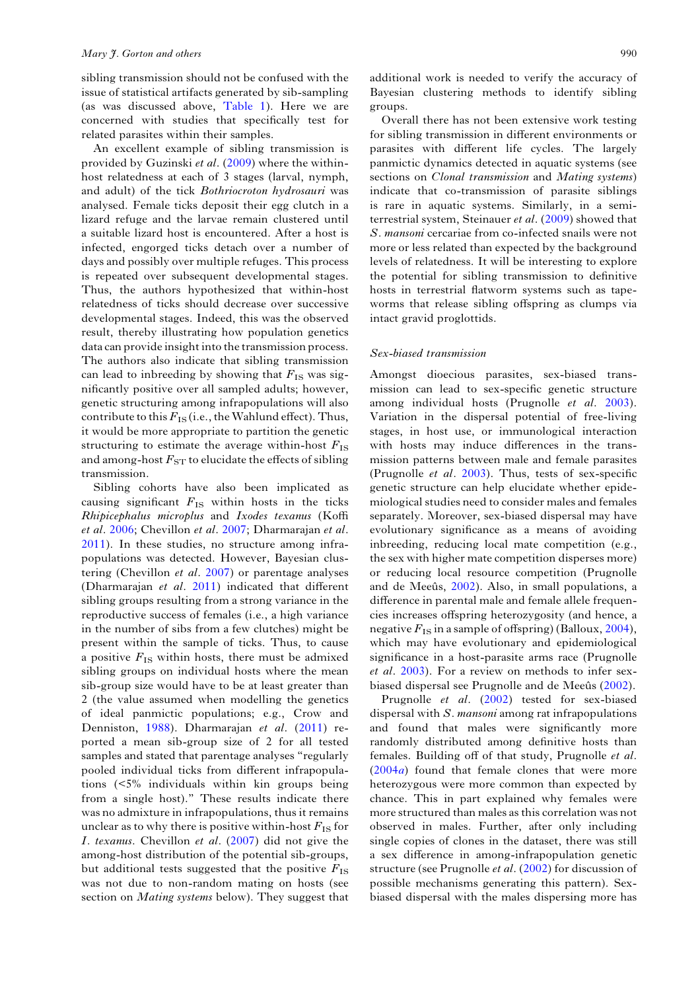sibling transmission should not be confused with the issue of statistical artifacts generated by sib-sampling (as was discussed above, [Table 1](#page-2-0)). Here we are concerned with studies that specifically test for related parasites within their samples.

An excellent example of sibling transmission is provided by Guzinski et al. ([2009\)](#page-15-0) where the withinhost relatedness at each of 3 stages (larval, nymph, and adult) of the tick Bothriocroton hydrosauri was analysed. Female ticks deposit their egg clutch in a lizard refuge and the larvae remain clustered until a suitable lizard host is encountered. After a host is infected, engorged ticks detach over a number of days and possibly over multiple refuges. This process is repeated over subsequent developmental stages. Thus, the authors hypothesized that within-host relatedness of ticks should decrease over successive developmental stages. Indeed, this was the observed result, thereby illustrating how population genetics data can provide insight into the transmission process. The authors also indicate that sibling transmission can lead to inbreeding by showing that  $F_{IS}$  was significantly positive over all sampled adults; however, genetic structuring among infrapopulations will also contribute to this  $F_{IS}$  (i.e., the Wahlund effect). Thus, it would be more appropriate to partition the genetic structuring to estimate the average within-host  $F_{IS}$ and among-host  $F_{ST}$  to elucidate the effects of sibling transmission.

Sibling cohorts have also been implicated as causing significant  $F_{IS}$  within hosts in the ticks Rhipicephalus microplus and Ixodes texanus (Koffi et al. [2006;](#page-15-0) Chevillon et al. [2007](#page-14-0); Dharmarajan et al. [2011](#page-14-0)). In these studies, no structure among infrapopulations was detected. However, Bayesian clus-tering (Chevillon et al. [2007](#page-14-0)) or parentage analyses (Dharmarajan et al. [2011](#page-14-0)) indicated that different sibling groups resulting from a strong variance in the reproductive success of females (i.e., a high variance in the number of sibs from a few clutches) might be present within the sample of ticks. Thus, to cause a positive  $F_{\text{IS}}$  within hosts, there must be admixed sibling groups on individual hosts where the mean sib-group size would have to be at least greater than 2 (the value assumed when modelling the genetics of ideal panmictic populations; e.g., Crow and Denniston, [1988\)](#page-14-0). Dharmarajan et al. ([2011\)](#page-14-0) reported a mean sib-group size of 2 for all tested samples and stated that parentage analyses "regularly pooled individual ticks from different infrapopulations (<5% individuals within kin groups being from a single host)." These results indicate there was no admixture in infrapopulations, thus it remains unclear as to why there is positive within-host  $F_{\text{IS}}$  for I. texanus. Chevillon et al. ([2007\)](#page-14-0) did not give the among-host distribution of the potential sib-groups, but additional tests suggested that the positive  $F_{\text{IS}}$ was not due to non-random mating on hosts (see section on *Mating systems* below). They suggest that additional work is needed to verify the accuracy of Bayesian clustering methods to identify sibling groups.

Overall there has not been extensive work testing for sibling transmission in different environments or parasites with different life cycles. The largely panmictic dynamics detected in aquatic systems (see sections on *Clonal transmission* and *Mating systems*) indicate that co-transmission of parasite siblings is rare in aquatic systems. Similarly, in a semiterrestrial system, Steinauer et al. [\(2009\)](#page-16-0) showed that S. mansoni cercariae from co-infected snails were not more or less related than expected by the background levels of relatedness. It will be interesting to explore the potential for sibling transmission to definitive hosts in terrestrial flatworm systems such as tapeworms that release sibling offspring as clumps via intact gravid proglottids.

## Sex-biased transmission

Amongst dioecious parasites, sex-biased transmission can lead to sex-specific genetic structure among individual hosts (Prugnolle et al. [2003](#page-15-0)). Variation in the dispersal potential of free-living stages, in host use, or immunological interaction with hosts may induce differences in the transmission patterns between male and female parasites (Prugnolle et al. [2003](#page-15-0)). Thus, tests of sex-specific genetic structure can help elucidate whether epidemiological studies need to consider males and females separately. Moreover, sex-biased dispersal may have evolutionary significance as a means of avoiding inbreeding, reducing local mate competition (e.g., the sex with higher mate competition disperses more) or reducing local resource competition (Prugnolle and de Meeûs, [2002](#page-15-0)). Also, in small populations, a difference in parental male and female allele frequencies increases offspring heterozygosity (and hence, a negative  $F_{1S}$  in a sample of offspring) (Balloux, [2004](#page-14-0)), which may have evolutionary and epidemiological significance in a host-parasite arms race (Prugnolle et al. [2003](#page-15-0)). For a review on methods to infer sexbiased dispersal see Prugnolle and de Meeûs [\(2002](#page-15-0)).

Prugnolle et al. [\(2002](#page-15-0)) tested for sex-biased dispersal with S. mansoni among rat infrapopulations and found that males were significantly more randomly distributed among definitive hosts than females. Building off of that study, Prugnolle et al.  $(2004a)$  $(2004a)$  $(2004a)$  found that female clones that were more heterozygous were more common than expected by chance. This in part explained why females were more structured than males as this correlation was not observed in males. Further, after only including single copies of clones in the dataset, there was still a sex difference in among-infrapopulation genetic structure (see Prugnolle et al. ([2002\)](#page-15-0) for discussion of possible mechanisms generating this pattern). Sexbiased dispersal with the males dispersing more has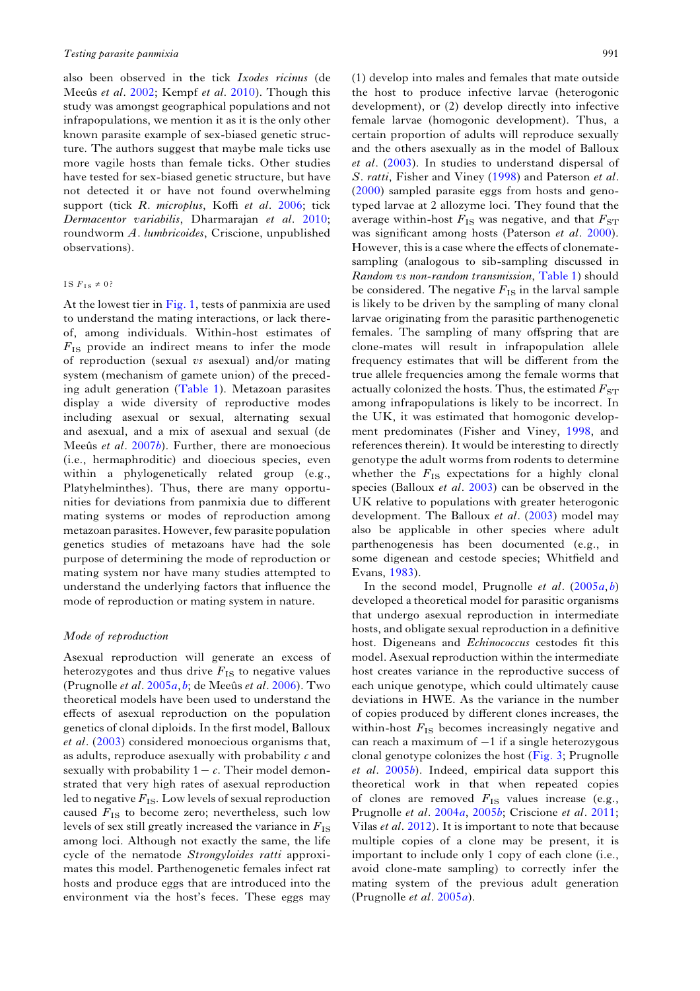also been observed in the tick Ixodes ricinus (de Meeûs et al. [2002](#page-14-0); Kempf et al. [2010\)](#page-15-0). Though this study was amongst geographical populations and not infrapopulations, we mention it as it is the only other known parasite example of sex-biased genetic structure. The authors suggest that maybe male ticks use more vagile hosts than female ticks. Other studies have tested for sex-biased genetic structure, but have not detected it or have not found overwhelming support (tick R. microplus, Koffi et al. [2006](#page-15-0); tick Dermacentor variabilis, Dharmarajan et al. [2010](#page-14-0); roundworm A. lumbricoides, Criscione, unpublished observations).

#### IS  $F_{1S} \neq 0$ ?

At the lowest tier in [Fig. 1,](#page-3-0) tests of panmixia are used to understand the mating interactions, or lack thereof, among individuals. Within-host estimates of  $F_{\text{IS}}$  provide an indirect means to infer the mode of reproduction (sexual vs asexual) and/or mating system (mechanism of gamete union) of the preceding adult generation ([Table 1](#page-2-0)). Metazoan parasites display a wide diversity of reproductive modes including asexual or sexual, alternating sexual and asexual, and a mix of asexual and sexual (de Meeûs et al. [2007](#page-14-0)b). Further, there are monoecious (i.e., hermaphroditic) and dioecious species, even within a phylogenetically related group (e.g., Platyhelminthes). Thus, there are many opportunities for deviations from panmixia due to different mating systems or modes of reproduction among metazoan parasites. However, few parasite population genetics studies of metazoans have had the sole purpose of determining the mode of reproduction or mating system nor have many studies attempted to understand the underlying factors that influence the mode of reproduction or mating system in nature.

#### Mode of reproduction

Asexual reproduction will generate an excess of heterozygotes and thus drive  $F_{\text{IS}}$  to negative values (Prugnolle *et al.*  $2005a, b$  $2005a, b$  $2005a, b$ ; de Meeûs *et al.*  $2006$ ). Two theoretical models have been used to understand the effects of asexual reproduction on the population genetics of clonal diploids. In the first model, Balloux et al. [\(2003\)](#page-14-0) considered monoecious organisms that, as adults, reproduce as<br>exually with probability  $c$  and sexually with probability  $1 - c$ . Their model demonstrated that very high rates of asexual reproduction led to negative  $F_{\text{IS}}$ . Low levels of sexual reproduction caused  $F_{\text{IS}}$  to become zero; nevertheless, such low levels of sex still greatly increased the variance in  $F_{\text{IS}}$ among loci. Although not exactly the same, the life cycle of the nematode Strongyloides ratti approximates this model. Parthenogenetic females infect rat hosts and produce eggs that are introduced into the environment via the host's feces. These eggs may

(1) develop into males and females that mate outside the host to produce infective larvae (heterogonic development), or (2) develop directly into infective female larvae (homogonic development). Thus, a certain proportion of adults will reproduce sexually and the others asexually as in the model of Balloux et al. [\(2003](#page-14-0)). In studies to understand dispersal of S. *ratti*, Fisher and Viney [\(1998](#page-14-0)) and Paterson *et al.* [\(2000](#page-15-0)) sampled parasite eggs from hosts and genotyped larvae at 2 allozyme loci. They found that the average within-host  $F_{1S}$  was negative, and that  $F_{ST}$ was significant among hosts (Paterson *et al.* [2000\)](#page-15-0). However, this is a case where the effects of clonematesampling (analogous to sib-sampling discussed in Random vs non-random transmission, [Table 1\)](#page-2-0) should be considered. The negative  $F_{\text{IS}}$  in the larval sample is likely to be driven by the sampling of many clonal larvae originating from the parasitic parthenogenetic females. The sampling of many offspring that are clone-mates will result in infrapopulation allele frequency estimates that will be different from the true allele frequencies among the female worms that actually colonized the hosts. Thus, the estimated  $F_{ST}$ among infrapopulations is likely to be incorrect. In the UK, it was estimated that homogonic development predominates (Fisher and Viney, [1998](#page-14-0), and references therein). It would be interesting to directly genotype the adult worms from rodents to determine whether the  $F_{\text{IS}}$  expectations for a highly clonal species (Balloux *et al.* [2003](#page-14-0)) can be observed in the UK relative to populations with greater heterogonic development. The Balloux et al. [\(2003](#page-14-0)) model may also be applicable in other species where adult parthenogenesis has been documented (e.g., in some digenean and cestode species; Whitfield and Evans, [1983\)](#page-16-0).

In the second model, Prugnolle *et al.*  $(2005a, b)$  $(2005a, b)$  $(2005a, b)$  $(2005a, b)$  $(2005a, b)$ developed a theoretical model for parasitic organisms that undergo asexual reproduction in intermediate hosts, and obligate sexual reproduction in a definitive host. Digeneans and Echinococcus cestodes fit this model. Asexual reproduction within the intermediate host creates variance in the reproductive success of each unique genotype, which could ultimately cause deviations in HWE. As the variance in the number of copies produced by different clones increases, the within-host  $F_{1S}$  becomes increasingly negative and can reach a maximum of −1 if a single heterozygous clonal genotype colonizes the host [\(Fig. 3](#page-11-0); Prugnolle et al. [2005](#page-15-0)b). Indeed, empirical data support this theoretical work in that when repeated copies of clones are removed  $F_{\text{IS}}$  values increase (e.g., Prugnolle et al. [2004](#page-15-0)a, [2005](#page-15-0)b; Criscione et al. [2011](#page-14-0); Vilas *et al.* [2012](#page-16-0)). It is important to note that because multiple copies of a clone may be present, it is important to include only 1 copy of each clone (i.e., avoid clone-mate sampling) to correctly infer the mating system of the previous adult generation (Prugnolle et al. [2005](#page-15-0)a).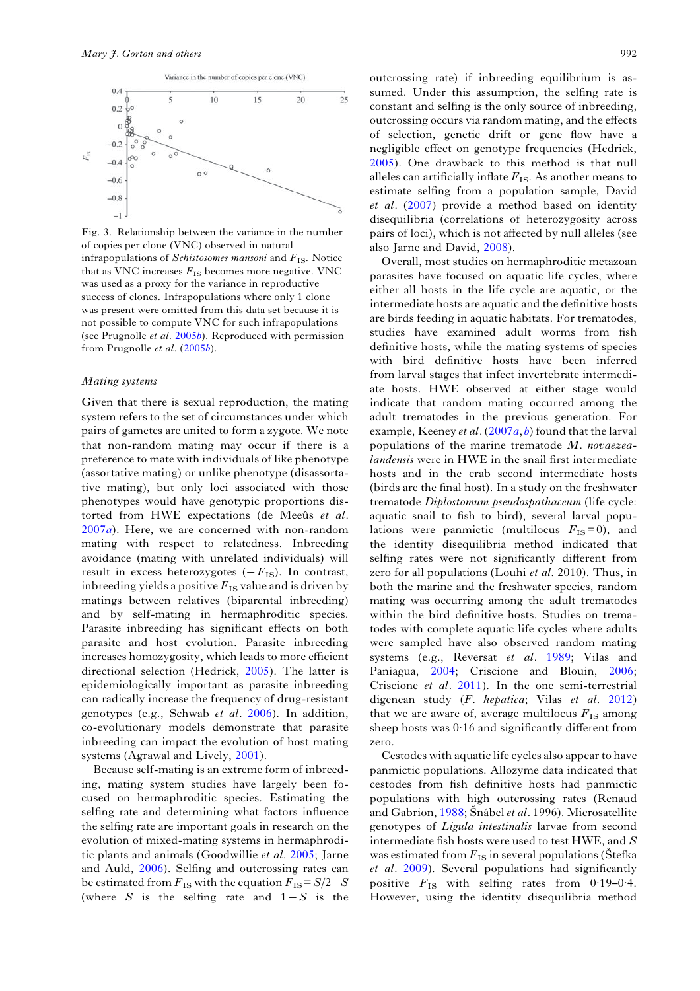<span id="page-11-0"></span>

Fig. 3. Relationship between the variance in the number of copies per clone (VNC) observed in natural infrapopulations of *Schistosomes mansoni* and  $F_{IS}$ . Notice that as VNC increases  $F_{IS}$  becomes more negative. VNC was used as a proxy for the variance in reproductive success of clones. Infrapopulations where only 1 clone was present were omitted from this data set because it is not possible to compute VNC for such infrapopulations (see Prugnolle et al. [2005](#page-15-0)b). Reproduced with permission from Prugnolle et al. [\(2005](#page-15-0)b).

## Mating systems

Given that there is sexual reproduction, the mating system refers to the set of circumstances under which pairs of gametes are united to form a zygote. We note that non-random mating may occur if there is a preference to mate with individuals of like phenotype (assortative mating) or unlike phenotype (disassortative mating), but only loci associated with those phenotypes would have genotypic proportions distorted from HWE expectations (de Meeûs et al.  $2007a$  $2007a$ ). Here, we are concerned with non-random mating with respect to relatedness. Inbreeding avoidance (mating with unrelated individuals) will result in excess heterozygotes  $(-F_{IS})$ . In contrast, inbreeding yields a positive  $F_{\text{IS}}$  value and is driven by matings between relatives (biparental inbreeding) and by self-mating in hermaphroditic species. Parasite inbreeding has significant effects on both parasite and host evolution. Parasite inbreeding increases homozygosity, which leads to more efficient directional selection (Hedrick, [2005\)](#page-15-0). The latter is epidemiologically important as parasite inbreeding can radically increase the frequency of drug-resistant genotypes (e.g., Schwab et al. [2006](#page-16-0)). In addition, co-evolutionary models demonstrate that parasite inbreeding can impact the evolution of host mating systems (Agrawal and Lively, [2001\)](#page-14-0).

Because self-mating is an extreme form of inbreeding, mating system studies have largely been focused on hermaphroditic species. Estimating the selfing rate and determining what factors influence the selfing rate are important goals in research on the evolution of mixed-mating systems in hermaphroditic plants and animals (Goodwillie et al. [2005](#page-15-0); Jarne and Auld, [2006\)](#page-15-0). Selfing and outcrossing rates can be estimated from  $F_{IS}$  with the equation  $F_{IS} = S/2-S$ (where  $S$  is the selfing rate and  $1-S$  is the

outcrossing rate) if inbreeding equilibrium is assumed. Under this assumption, the selfing rate is constant and selfing is the only source of inbreeding, outcrossing occurs via random mating, and the effects of selection, genetic drift or gene flow have a negligible effect on genotype frequencies (Hedrick, [2005](#page-15-0)). One drawback to this method is that null alleles can artificially inflate  $F_{\text{IS}}$ . As another means to estimate selfing from a population sample, David et al. [\(2007](#page-14-0)) provide a method based on identity disequilibria (correlations of heterozygosity across pairs of loci), which is not affected by null alleles (see also Jarne and David, [2008\)](#page-15-0).

Overall, most studies on hermaphroditic metazoan parasites have focused on aquatic life cycles, where either all hosts in the life cycle are aquatic, or the intermediate hosts are aquatic and the definitive hosts are birds feeding in aquatic habitats. For trematodes, studies have examined adult worms from fish definitive hosts, while the mating systems of species with bird definitive hosts have been inferred from larval stages that infect invertebrate intermediate hosts. HWE observed at either stage would indicate that random mating occurred among the adult trematodes in the previous generation. For example, Keeney et al.  $(2007a, b)$  $(2007a, b)$  $(2007a, b)$  $(2007a, b)$  found that the larval populations of the marine trematode M. novaezealandensis were in HWE in the snail first intermediate hosts and in the crab second intermediate hosts (birds are the final host). In a study on the freshwater trematode Diplostomum pseudospathaceum (life cycle: aquatic snail to fish to bird), several larval populations were panmictic (multilocus  $F_{IS}=0$ ), and the identity disequilibria method indicated that selfing rates were not significantly different from zero for all populations (Louhi et al. 2010). Thus, in both the marine and the freshwater species, random mating was occurring among the adult trematodes within the bird definitive hosts. Studies on trematodes with complete aquatic life cycles where adults were sampled have also observed random mating systems (e.g., Reversat et al. [1989](#page-15-0); Vilas and Paniagua, [2004;](#page-16-0) Criscione and Blouin, [2006](#page-14-0); Criscione et al. [2011\)](#page-14-0). In the one semi-terrestrial digenean study (F. hepatica; Vilas et al. [2012\)](#page-16-0) that we are aware of, average multilocus  $F_{\text{IS}}$  among sheep hosts was 0·16 and significantly different from zero.

Cestodes with aquatic life cycles also appear to have panmictic populations. Allozyme data indicated that cestodes from fish definitive hosts had panmictic populations with high outcrossing rates (Renaud and Gabrion, [1988](#page-15-0); Šnábel et al. 1996). Microsatellite genotypes of Ligula intestinalis larvae from second intermediate fish hosts were used to test HWE, and S was estimated from  $F_{1S}$  in several populations (Štefka et al. [2009\)](#page-16-0). Several populations had significantly positive  $F_{1S}$  with selfing rates from 0.19–0.4. However, using the identity disequilibria method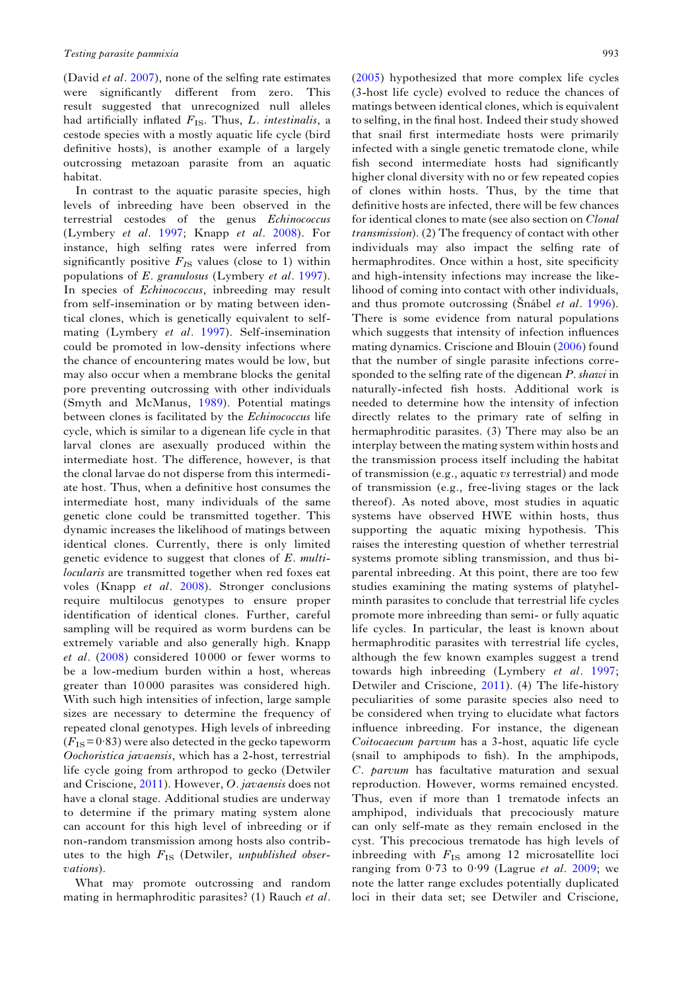(David et al. [2007](#page-14-0)), none of the selfing rate estimates were significantly different from zero. This result suggested that unrecognized null alleles had artificially inflated  $F_{\text{IS}}$ . Thus, *L. intestinalis*, a cestode species with a mostly aquatic life cycle (bird definitive hosts), is another example of a largely outcrossing metazoan parasite from an aquatic habitat.

In contrast to the aquatic parasite species, high levels of inbreeding have been observed in the terrestrial cestodes of the genus Echinococcus (Lymbery et al. [1997;](#page-15-0) Knapp et al. [2008\)](#page-15-0). For instance, high selfing rates were inferred from significantly positive  $F_{IS}$  values (close to 1) within populations of E. granulosus (Lymbery et al. [1997\)](#page-15-0). In species of Echinococcus, inbreeding may result from self-insemination or by mating between identical clones, which is genetically equivalent to selfmating (Lymbery et al. [1997\)](#page-15-0). Self-insemination could be promoted in low-density infections where the chance of encountering mates would be low, but may also occur when a membrane blocks the genital pore preventing outcrossing with other individuals (Smyth and McManus, [1989](#page-16-0)). Potential matings between clones is facilitated by the Echinococcus life cycle, which is similar to a digenean life cycle in that larval clones are asexually produced within the intermediate host. The difference, however, is that the clonal larvae do not disperse from this intermediate host. Thus, when a definitive host consumes the intermediate host, many individuals of the same genetic clone could be transmitted together. This dynamic increases the likelihood of matings between identical clones. Currently, there is only limited genetic evidence to suggest that clones of E. multilocularis are transmitted together when red foxes eat voles (Knapp et al. [2008\)](#page-15-0). Stronger conclusions require multilocus genotypes to ensure proper identification of identical clones. Further, careful sampling will be required as worm burdens can be extremely variable and also generally high. Knapp et al. ([2008\)](#page-15-0) considered 10 000 or fewer worms to be a low-medium burden within a host, whereas greater than 10 000 parasites was considered high. With such high intensities of infection, large sample sizes are necessary to determine the frequency of repeated clonal genotypes. High levels of inbreeding  $(F_{IS} = 0.83)$  were also detected in the gecko tapeworm Oochoristica javaensis, which has a 2-host, terrestrial life cycle going from arthropod to gecko (Detwiler and Criscione, [2011](#page-14-0)). However, O. javaensis does not have a clonal stage. Additional studies are underway to determine if the primary mating system alone can account for this high level of inbreeding or if non-random transmission among hosts also contributes to the high  $F_{IS}$  (Detwiler, unpublished observations).

What may promote outcrossing and random mating in hermaphroditic parasites? (1) Rauch et al.

[\(2005](#page-15-0)) hypothesized that more complex life cycles (3-host life cycle) evolved to reduce the chances of matings between identical clones, which is equivalent to selfing, in the final host. Indeed their study showed that snail first intermediate hosts were primarily infected with a single genetic trematode clone, while fish second intermediate hosts had significantly higher clonal diversity with no or few repeated copies of clones within hosts. Thus, by the time that definitive hosts are infected, there will be few chances for identical clones to mate (see also section on Clonal transmission). (2) The frequency of contact with other individuals may also impact the selfing rate of hermaphrodites. Once within a host, site specificity and high-intensity infections may increase the likelihood of coming into contact with other individuals, and thus promote outcrossing (Šnábel *et al.* [1996\)](#page-16-0). There is some evidence from natural populations which suggests that intensity of infection influences mating dynamics. Criscione and Blouin ([2006\)](#page-14-0) found that the number of single parasite infections corresponded to the selfing rate of the digenean P. shawi in naturally-infected fish hosts. Additional work is needed to determine how the intensity of infection directly relates to the primary rate of selfing in hermaphroditic parasites. (3) There may also be an interplay between the mating system within hosts and the transmission process itself including the habitat of transmission (e.g., aquatic vs terrestrial) and mode of transmission (e.g., free-living stages or the lack thereof). As noted above, most studies in aquatic systems have observed HWE within hosts, thus supporting the aquatic mixing hypothesis. This raises the interesting question of whether terrestrial systems promote sibling transmission, and thus biparental inbreeding. At this point, there are too few studies examining the mating systems of platyhelminth parasites to conclude that terrestrial life cycles promote more inbreeding than semi- or fully aquatic life cycles. In particular, the least is known about hermaphroditic parasites with terrestrial life cycles, although the few known examples suggest a trend towards high inbreeding (Lymbery et al. [1997](#page-15-0); Detwiler and Criscione, [2011\)](#page-14-0). (4) The life-history peculiarities of some parasite species also need to be considered when trying to elucidate what factors influence inbreeding. For instance, the digenean Coitocaecum parvum has a 3-host, aquatic life cycle (snail to amphipods to fish). In the amphipods, C. parvum has facultative maturation and sexual reproduction. However, worms remained encysted. Thus, even if more than 1 trematode infects an amphipod, individuals that precociously mature can only self-mate as they remain enclosed in the cyst. This precocious trematode has high levels of inbreeding with  $F_{1S}$  among 12 microsatellite loci ranging from  $0.73$  to  $0.99$  (Lagrue *et al.* [2009](#page-15-0); we note the latter range excludes potentially duplicated loci in their data set; see Detwiler and Criscione,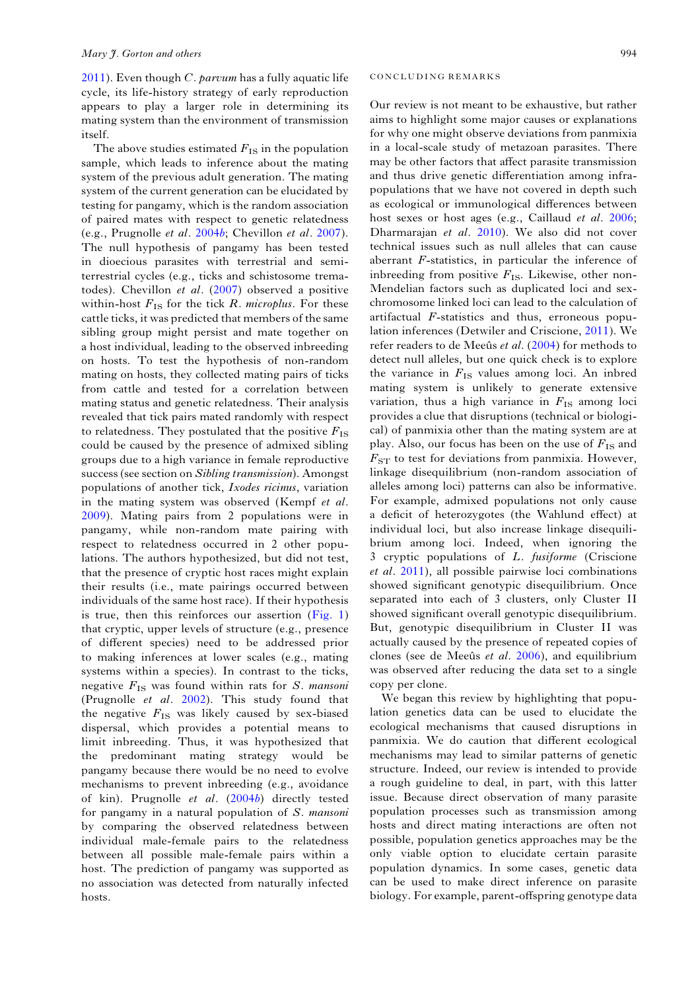[2011](#page-14-0)). Even though C. parvum has a fully aquatic life cycle, its life-history strategy of early reproduction appears to play a larger role in determining its mating system than the environment of transmission itself.

The above studies estimated  $F_{\text{IS}}$  in the population sample, which leads to inference about the mating system of the previous adult generation. The mating system of the current generation can be elucidated by testing for pangamy, which is the random association of paired mates with respect to genetic relatedness (e.g., Prugnolle *et al.* [2004](#page-15-0)*b*; Chevillon *et al.* [2007\)](#page-14-0). The null hypothesis of pangamy has been tested in dioecious parasites with terrestrial and semiterrestrial cycles (e.g., ticks and schistosome trematodes). Chevillon et al.  $(2007)$  $(2007)$  observed a positive within-host  $F_{1S}$  for the tick R. microplus. For these cattle ticks, it was predicted that members of the same sibling group might persist and mate together on a host individual, leading to the observed inbreeding on hosts. To test the hypothesis of non-random mating on hosts, they collected mating pairs of ticks from cattle and tested for a correlation between mating status and genetic relatedness. Their analysis revealed that tick pairs mated randomly with respect to relatedness. They postulated that the positive  $F_{\text{IS}}$ could be caused by the presence of admixed sibling groups due to a high variance in female reproductive success (see section on Sibling transmission). Amongst populations of another tick, Ixodes ricinus, variation in the mating system was observed (Kempf et al. [2009](#page-15-0)). Mating pairs from 2 populations were in pangamy, while non-random mate pairing with respect to relatedness occurred in 2 other populations. The authors hypothesized, but did not test, that the presence of cryptic host races might explain their results (i.e., mate pairings occurred between individuals of the same host race). If their hypothesis is true, then this reinforces our assertion ([Fig. 1\)](#page-3-0) that cryptic, upper levels of structure (e.g., presence of different species) need to be addressed prior to making inferences at lower scales (e.g., mating systems within a species). In contrast to the ticks, negative  $F_{\text{IS}}$  was found within rats for S. mansoni (Prugnolle et al. [2002](#page-15-0)). This study found that the negative  $F_{IS}$  was likely caused by sex-biased dispersal, which provides a potential means to limit inbreeding. Thus, it was hypothesized that the predominant mating strategy would be pangamy because there would be no need to evolve mechanisms to prevent inbreeding (e.g., avoidance of kin). Prugnolle et al. ([2004](#page-15-0)b) directly tested for pangamy in a natural population of S. mansoni by comparing the observed relatedness between individual male-female pairs to the relatedness between all possible male-female pairs within a host. The prediction of pangamy was supported as no association was detected from naturally infected hosts.

#### CONCLUDING REMARKS

Our review is not meant to be exhaustive, but rather aims to highlight some major causes or explanations for why one might observe deviations from panmixia in a local-scale study of metazoan parasites. There may be other factors that affect parasite transmission and thus drive genetic differentiation among infrapopulations that we have not covered in depth such as ecological or immunological differences between host sexes or host ages (e.g., Caillaud *et al.* [2006](#page-14-0); Dharmarajan et al. [2010](#page-14-0)). We also did not cover technical issues such as null alleles that can cause aberrant F-statistics, in particular the inference of inbreeding from positive  $F_{IS}$ . Likewise, other non-Mendelian factors such as duplicated loci and sexchromosome linked loci can lead to the calculation of artifactual F-statistics and thus, erroneous population inferences (Detwiler and Criscione, [2011\)](#page-14-0). We refer readers to de Meeûs et al. ([2004](#page-14-0)) for methods to detect null alleles, but one quick check is to explore the variance in  $F_{IS}$  values among loci. An inbred mating system is unlikely to generate extensive variation, thus a high variance in  $F_{IS}$  among loci provides a clue that disruptions (technical or biological) of panmixia other than the mating system are at play. Also, our focus has been on the use of  $F_{\text{IS}}$  and  $F_{ST}$  to test for deviations from panmixia. However, linkage disequilibrium (non-random association of alleles among loci) patterns can also be informative. For example, admixed populations not only cause a deficit of heterozygotes (the Wahlund effect) at individual loci, but also increase linkage disequilibrium among loci. Indeed, when ignoring the 3 cryptic populations of L. fusiforme (Criscione et al. [2011](#page-14-0)), all possible pairwise loci combinations showed significant genotypic disequilibrium. Once separated into each of 3 clusters, only Cluster II showed significant overall genotypic disequilibrium. But, genotypic disequilibrium in Cluster II was actually caused by the presence of repeated copies of clones (see de Meeûs et al. [2006](#page-14-0)), and equilibrium was observed after reducing the data set to a single copy per clone.

We began this review by highlighting that population genetics data can be used to elucidate the ecological mechanisms that caused disruptions in panmixia. We do caution that different ecological mechanisms may lead to similar patterns of genetic structure. Indeed, our review is intended to provide a rough guideline to deal, in part, with this latter issue. Because direct observation of many parasite population processes such as transmission among hosts and direct mating interactions are often not possible, population genetics approaches may be the only viable option to elucidate certain parasite population dynamics. In some cases, genetic data can be used to make direct inference on parasite biology. For example, parent-offspring genotype data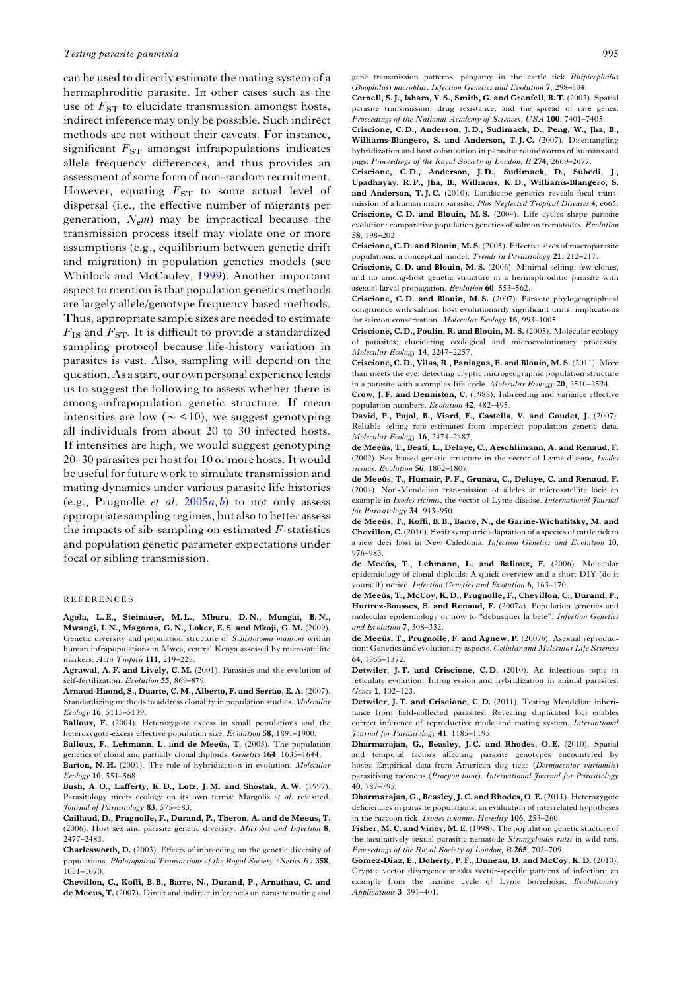<span id="page-14-0"></span>can be used to directly estimate the mating system of a hermaphroditic parasite. In other cases such as the use of  $F_{ST}$  to elucidate transmission amongst hosts, indirect inference may only be possible. Such indirect methods are not without their caveats. For instance, significant  $F_{ST}$  amongst infrapopulations indicates allele frequency differences, and thus provides an assessment of some form of non-random recruitment. However, equating  $F_{ST}$  to some actual level of dispersal (i.e., the effective number of migrants per generation,  $N_{\rm e}$ m) may be impractical because the transmission process itself may violate one or more assumptions (e.g., equilibrium between genetic drift and migration) in population genetics models (see Whitlock and McCauley, [1999](#page-16-0)). Another important aspect to mention is that population genetics methods are largely allele/genotype frequency based methods. Thus, appropriate sample sizes are needed to estimate  $F_{\text{IS}}$  and  $F_{\text{ST}}$ . It is difficult to provide a standardized sampling protocol because life-history variation in parasites is vast. Also, sampling will depend on the question. As a start, our own personal experience leads us to suggest the following to assess whether there is among-infrapopulation genetic structure. If mean intensities are low ( $\sim$  < 10), we suggest genotyping all individuals from about 20 to 30 infected hosts. If intensities are high, we would suggest genotyping 20–30 parasites per host for 10 or more hosts. It would be useful for future work to simulate transmission and mating dynamics under various parasite life histories (e.g., Prugnolle *et al.*  $2005a, b$  $2005a, b$  $2005a, b$ ) to not only assess appropriate sampling regimes, but also to better assess the impacts of sib-sampling on estimated  $F$ -statistics and population genetic parameter expectations under focal or sibling transmission.

#### REFERENCES

Agola, L. E., Steinauer, M. L., Mburu, D. N., Mungai, B. N., Mwangi, I. N., Magoma, G. N., Loker, E. S. and Mkoji, G. M. (2009). Genetic diversity and population structure of Schistosoma mansoni within human infrapopulations in Mwea, central Kenya assessed by microsatellite markers. Acta Tropica 111, 219–225.

Agrawal, A. F. and Lively, C. M. (2001). Parasites and the evolution of self-fertilization. Evolution 55, 869-879.

Arnaud-Haond, S., Duarte, C. M., Alberto, F. and Serrao, E. A. (2007). Standardizing methods to address clonality in population studies. Molecular Ecology 16, 5115–5139.

Balloux, F. (2004). Heterozygote excess in small populations and the heterozygote-excess effective population size. Evolution 58, 1891–1900.

Balloux, F., Lehmann, L. and de Meeûs, T. (2003). The population genetics of clonal and partially clonal diploids. Genetics 164, 1635–1644.

Barton, N.H. (2001). The role of hybridization in evolution. Molecular Ecology 10, 551–568.

Bush, A. O., Lafferty, K. D., Lotz, J. M. and Shostak, A. W. (1997). Parasitology meets ecology on its own terms: Margolis et al. revisited. Journal of Parasitology 83, 575–583.

Caillaud, D., Prugnolle, F., Durand, P., Theron, A. and de Meeus, T. (2006). Host sex and parasite genetic diversity. Microbes and Infection 8, 2477–2483.

Charlesworth, D. (2003). Effects of inbreeding on the genetic diversity of populations. Philosophical Transactions of the Royal Society (Series B) 358, 1051–1070.

Chevillon, C., Koffi, B. B., Barre, N., Durand, P., Arnathau, C. and de Meeus, T. (2007). Direct and indirect inferences on parasite mating and

gene transmission patterns: pangamy in the cattle tick Rhipicephalus (Boophilus) microplus. Infection Genetics and Evolution 7, 298–304.

Cornell, S. J., Isham, V. S., Smith, G. and Grenfell, B. T. (2003). Spatial parasite transmission, drug resistance, and the spread of rare genes. Proceedings of the National Academy of Sciences, USA 100, 7401–7405.

Criscione, C. D., Anderson, J. D., Sudimack, D., Peng, W., Jha, B., Williams-Blangero, S. and Anderson, T. J. C. (2007). Disentangling hybridization and host colonization in parasitic roundworms of humans and pigs. Proceedings of the Royal Society of London, B 274, 2669–2677.

Criscione, C. D., Anderson, J. D., Sudimack, D., Subedi, J., Upadhayay, R. P., Jha, B., Williams, K. D., Williams-Blangero, S. and Anderson, T.J.C. (2010). Landscape genetics reveals focal transmission of a human macroparasite. Plos Neglected Tropical Diseases 4, e665. Criscione, C. D. and Blouin, M. S. (2004). Life cycles shape parasite evolution: comparative population genetics of salmon trematodes. Evolution 58, 198–202.

Criscione, C. D. and Blouin, M. S. (2005). Effective sizes of macroparasite populations: a conceptual model. Trends in Parasitology 21, 212–217.

Criscione, C. D. and Blouin, M. S. (2006). Minimal selfing, few clones, and no among-host genetic structure in a hermaphroditic parasite with asexual larval propagation. Evolution 60, 553–562.

Criscione, C. D. and Blouin, M. S. (2007). Parasite phylogeographical congruence with salmon host evolutionarily significant units: implications for salmon conservation. Molecular Ecology 16, 993–1005.

Criscione, C. D., Poulin, R. and Blouin, M. S. (2005). Molecular ecology of parasites: elucidating ecological and microevolutionary processes. Molecular Ecology 14, 2247–2257.

Criscione, C. D., Vilas, R., Paniagua, E. and Blouin, M. S. (2011). More than meets the eye: detecting cryptic microgeographic population structure in a parasite with a complex life cycle. Molecular Ecology 20, 2510–2524.

Crow, J. F. and Denniston, C. (1988). Inbreeding and variance effective population numbers. Evolution 42, 482–495.

David, P., Pujol, B., Viard, F., Castella, V. and Goudet, J. (2007). Reliable selfing rate estimates from imperfect population genetic data. Molecular Ecology 16, 2474–2487.

de Meeûs, T., Beati, L., Delaye, C., Aeschlimann, A. and Renaud, F. (2002). Sex-biased genetic structure in the vector of Lyme disease, Ixodes ricinus. Evolution 56, 1802–1807.

de Meeûs, T., Humair, P. F., Grunau, C., Delaye, C. and Renaud, F. (2004). Non-Mendelian transmission of alleles at microsatellite loci: an example in Ixodes ricinus, the vector of Lyme disease. International Journal for Parasitology 34, 943-950.

de Meeûs, T., Koffi, B. B., Barre, N., de Garine-Wichatitsky, M. and Chevillon, C. (2010). Swift sympatric adaptation of a species of cattle tick to a new deer host in New Caledonia. Infection Genetics and Evolution 10, 976–983.

de Meeûs, T., Lehmann, L. and Balloux, F. (2006). Molecular epidemiology of clonal diploids: A quick overview and a short DIY (do it yourself) notice. Infection Genetics and Evolution 6, 163–170.

de Meeûs, T., McCoy, K. D., Prugnolle, F., Chevillon, C., Durand, P., Hurtrez-Bousses, S. and Renaud, F. (2007a). Population genetics and molecular epidemiology or how to "debusquer la bete". Infection Genetics and Evolution 7, 308–332.

de Meeûs, T., Prugnolle, F. and Agnew, P. (2007b). Asexual reproduction: Genetics and evolutionary aspects. Cellular and Molecular Life Sciences 64, 1355–1372.

Detwiler, J. T. and Criscione, C. D. (2010). An infectious topic in reticulate evolution: Introgression and hybridization in animal parasites. Genes 1, 102–123.

Detwiler, J. T. and Criscione, C. D. (2011). Testing Mendelian inheritance from field-collected parasites: Revealing duplicated loci enables correct inference of reproductive mode and mating system. International Journal for Parasitology 41, 1185–1195.

Dharmarajan, G., Beasley, J. C. and Rhodes, O. E. (2010). Spatial and temporal factors affecting parasite genotypes encountered by hosts: Empirical data from American dog ticks (Dermacentor variabilis) parasitising raccoons (Procyon lotor). International Journal for Parasitology 40, 787–795.

Dharmarajan, G., Beasley, J. C. and Rhodes, O. E. (2011). Heterozygote deficiencies in parasite populations: an evaluation of interrelated hypotheses in the raccoon tick, Ixodes texanus. Heredity 106, 253–260.

Fisher, M. C. and Viney, M. E. (1998). The population genetic stucture of the facultatively sexual parasitic nematode Strongyloides ratti in wild rats. Proceedings of the Royal Society of London, B 265, 703–709.

Gomez-Diaz, E., Doherty, P. F., Duneau, D. and McCoy, K. D. (2010). Cryptic vector divergence masks vector-specific patterns of infection: an example from the marine cycle of Lyme borreliosis. Evolutionary Applications 3, 391–401.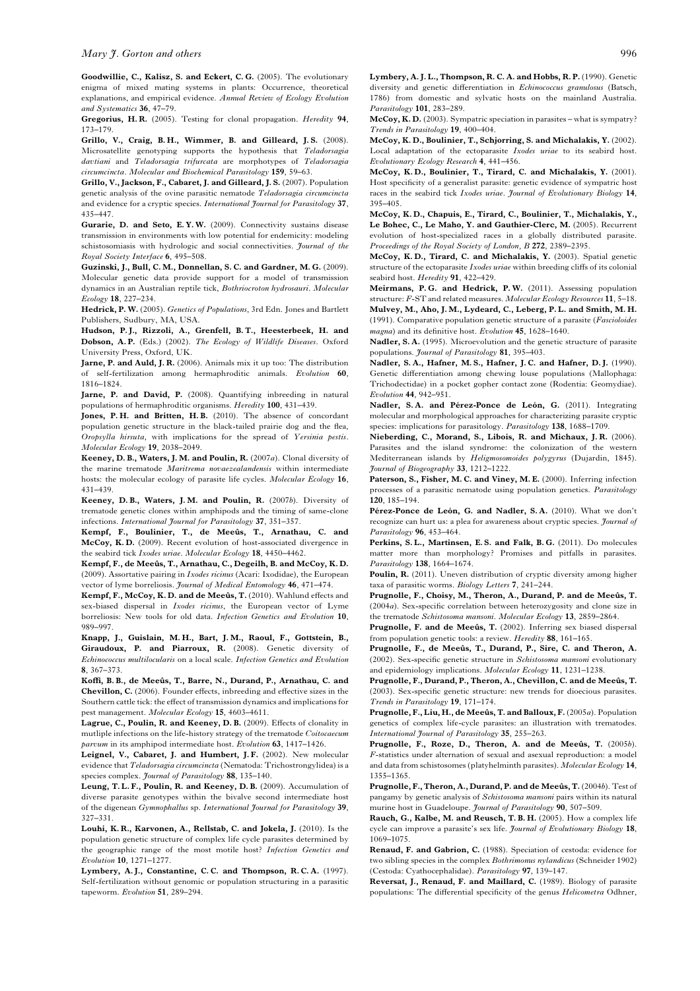<span id="page-15-0"></span>Goodwillie, C., Kalisz, S. and Eckert, C. G. (2005). The evolutionary enigma of mixed mating systems in plants: Occurrence, theoretical explanations, and empirical evidence. Annual Review of Ecology Evolution and Systematics 36, 47–79.

Gregorius, H. R. (2005). Testing for clonal propagation. Heredity 94, 173–179.

Grillo, V., Craig, B. H., Wimmer, B. and Gilleard, J. S. (2008). Microsatellite genotyping supports the hypothesis that Teladorsagia davtiani and Teladorsagia trifurcata are morphotypes of Teladorsagia circumcincta. Molecular and Biochemical Parasitology 159, 59–63.

Grillo, V., Jackson, F., Cabaret, J. and Gilleard, J. S. (2007). Population genetic analysis of the ovine parasitic nematode Teladorsagia circumcincta and evidence for a cryptic species. International Journal for Parasitology 37, 435–447.

Gurarie, D. and Seto, E. Y. W. (2009). Connectivity sustains disease transmission in environments with low potential for endemicity: modeling schistosomiasis with hydrologic and social connectivities. Journal of the Royal Society Interface 6, 495–508.

Guzinski, J., Bull, C. M., Donnellan, S. C. and Gardner, M. G. (2009). Molecular genetic data provide support for a model of transmission dynamics in an Australian reptile tick, Bothriocroton hydrosauri. Molecular Ecology 18, 227–234.

Hedrick, P. W. (2005). Genetics of Populations, 3rd Edn. Jones and Bartlett Publishers, Sudbury, MA, USA.

Hudson, P. J., Rizzoli, A., Grenfell, B. T., Heesterbeek, H. and Dobson, A.P. (Eds.) (2002). The Ecology of Wildlife Diseases. Oxford University Press, Oxford, UK.

Jarne, P. and Auld, J. R. (2006). Animals mix it up too: The distribution of self-fertilization among hermaphroditic animals. Evolution 60, 1816–1824.

Jarne, P. and David, P. (2008). Quantifying inbreeding in natural populations of hermaphroditic organisms. Heredity 100, 431–439.

Jones, P.H. and Britten, H.B. (2010). The absence of concordant population genetic structure in the black-tailed prairie dog and the flea, Oropsylla hirsuta, with implications for the spread of Yersinia pestis. Molecular Ecology 19, 2038–2049.

Keeney, D. B., Waters, J. M. and Poulin, R. (2007a). Clonal diversity of the marine trematode Maritrema novaezealandensis within intermediate hosts: the molecular ecology of parasite life cycles. Molecular Ecology 16, 431–439.

Keeney, D. B., Waters, J. M. and Poulin, R. (2007b). Diversity of trematode genetic clones within amphipods and the timing of same-clone infections. International Journal for Parasitology 37, 351–357.

Kempf, F., Boulinier, T., de Meeûs, T., Arnathau, C. and McCoy, K. D. (2009). Recent evolution of host-associated divergence in the seabird tick Ixodes uriae. Molecular Ecology 18, 4450–4462.

Kempf, F., de Meeûs, T., Arnathau, C., Degeilh, B. and McCoy, K. D. (2009). Assortative pairing in Ixodes ricinus (Acari: Ixodidae), the European vector of lyme borreliosis. Journal of Medical Entomology 46, 471–474.

Kempf, F., McCoy, K. D. and de Meeûs, T. (2010). Wahlund effects and sex-biased dispersal in Ixodes ricinus, the European vector of Lyme borreliosis: New tools for old data. Infection Genetics and Evolution 10, 989–997.

Knapp, J., Guislain, M. H., Bart, J. M., Raoul, F., Gottstein, B., Giraudoux, P. and Piarroux, R. (2008). Genetic diversity of Echinococcus multilocularis on a local scale. Infection Genetics and Evolution 8, 367–373.

Koffi, B. B., de Meeûs, T., Barre, N., Durand, P., Arnathau, C. and Chevillon, C. (2006). Founder effects, inbreeding and effective sizes in the Southern cattle tick: the effect of transmission dynamics and implications for pest management. Molecular Ecology 15, 4603–4611.

Lagrue, C., Poulin, R. and Keeney, D. B. (2009). Effects of clonality in mutliple infections on the life-history strategy of the trematode Coitocaecum parvum in its amphipod intermediate host. Evolution 63, 1417–1426.

Leignel, V., Cabaret, J. and Humbert, J. F. (2002). New molecular evidence that Teladorsagia circumcincta (Nematoda: Trichostrongylidea) is a species complex. Journal of Parasitology 88, 135-140.

Leung, T. L. F., Poulin, R. and Keeney, D. B. (2009). Accumulation of diverse parasite genotypes within the bivalve second intermediate host of the digenean Gymnophallus sp. International Journal for Parasitology 39, 327–331.

Louhi, K. R., Karvonen, A., Rellstab, C. and Jokela, J. (2010). Is the population genetic structure of complex life cycle parasites determined by the geographic range of the most motile host? Infection Genetics and Evolution 10, 1271–1277.

Lymbery, A. J., Constantine, C. C. and Thompson, R. C. A. (1997). Self-fertilization without genomic or population structuring in a parasitic tapeworm. Evolution 51, 289-294.

Lymbery, A. J. L., Thompson, R. C. A. and Hobbs, R. P. (1990). Genetic diversity and genetic differentiation in Echinococcus granulosus (Batsch, 1786) from domestic and sylvatic hosts on the mainland Australia. Parasitology 101, 283-289.

McCoy, K. D. (2003). Sympatric speciation in parasites – what is sympatry? Trends in Parasitology 19, 400–404.

McCoy, K. D., Boulinier, T., Schjorring, S. and Michalakis, Y. (2002). Local adaptation of the ectoparasite Ixodes uriae to its seabird host. Evolutionary Ecology Research 4, 441–456.

McCoy, K. D., Boulinier, T., Tirard, C. and Michalakis, Y. (2001). Host specificity of a generalist parasite: genetic evidence of sympatric host races in the seabird tick Ixodes uriae. Journal of Evolutionary Biology 14, 395–405.

McCoy, K. D., Chapuis, E., Tirard, C., Boulinier, T., Michalakis, Y., Le Bohec, C., Le Maho, Y. and Gauthier-Clerc, M. (2005). Recurrent evolution of host-specialized races in a globally distributed parasite. Proceedings of the Royal Society of London, B 272, 2389–2395.

McCoy, K. D., Tirard, C. and Michalakis, Y. (2003). Spatial genetic structure of the ectoparasite Ixodes uriae within breeding cliffs of its colonial seabird host. Heredity 91, 422-429.

Meirmans, P. G. and Hedrick, P. W. (2011). Assessing population structure: F-ST and related measures. Molecular Ecology Resources 11, 5–18. Mulvey, M., Aho, J. M., Lydeard, C., Leberg, P. L. and Smith, M. H. (1991). Comparative population genetic structure of a parasite (Fascioloides magna) and its definitive host. Evolution 45, 1628-1640.

Nadler, S. A. (1995). Microevolution and the genetic structure of parasite populations. Journal of Parasitology 81, 395-403.

Nadler, S. A., Hafner, M. S., Hafner, J. C. and Hafner, D. J. (1990). Genetic differentiation among chewing louse populations (Mallophaga: Trichodectidae) in a pocket gopher contact zone (Rodentia: Geomydiae). Evolution 44, 942–951.

Nadler, S.A. and Pérez-Ponce de León, G. (2011). Integrating molecular and morphological approaches for characterizing parasite cryptic species: implications for parasitology. Parasitology 138, 1688–1709.

Nieberding, C., Morand, S., Libois, R. and Michaux, J. R. (2006). Parasites and the island syndrome: the colonization of the western Mediterranean islands by Heligmosomoides polygyrus (Dujardin, 1845). Journal of Biogeography 33, 1212–1222.

Paterson, S., Fisher, M. C. and Viney, M. E. (2000). Inferring infection processes of a parasitic nematode using population genetics. Parasitology 120, 185–194.

Pérez-Ponce de León, G. and Nadler, S.A. (2010). What we don't recognize can hurt us: a plea for awareness about cryptic species. Journal of Parasitology 96, 453-464.

Perkins, S. L., Martinsen, E. S. and Falk, B. G. (2011). Do molecules matter more than morphology? Promises and pitfalls in parasites. Parasitology 138, 1664–1674.

Poulin, R. (2011). Uneven distribution of cryptic diversity among higher taxa of parasitic worms. Biology Letters 7, 241–244.

Prugnolle, F., Choisy, M., Theron, A., Durand, P. and de Meeûs, T. (2004a). Sex-specific correlation between heterozygosity and clone size in the trematode Schistosoma mansoni. Molecular Ecology 13, 2859-2864.

Prugnolle, F. and de Meeûs, T. (2002). Inferring sex biased dispersal from population genetic tools: a review. Heredity 88, 161–165.

Prugnolle, F., de Meeûs, T., Durand, P., Sire, C. and Theron, A. (2002). Sex-specific genetic structure in Schistosoma mansoni evolutionary and epidemiology implications. Molecular Ecology 11, 1231–1238.

Prugnolle, F., Durand, P., Theron, A., Chevillon, C. and de Meeûs, T. (2003). Sex-specific genetic structure: new trends for dioecious parasites. Trends in Parasitology 19, 171–174.

Prugnolle, F., Liu, H., de Meeûs, T. and Balloux, F. (2005a). Population genetics of complex life-cycle parasites: an illustration with trematodes. International Journal of Parasitology 35, 255–263.

Prugnolle, F., Roze, D., Theron, A. and de Meeûs, T. (2005b). F-statistics under alternation of sexual and asexual reproduction: a model and data from schistosomes (platyhelminth parasites). Molecular Ecology 14, 1355–1365.

Prugnolle, F., Theron, A., Durand, P. and de Meeûs, T. (2004b). Test of pangamy by genetic analysis of Schistosoma mansoni pairs within its natural murine host in Guadeloupe. Journal of Parasitology 90, 507-509.

Rauch, G., Kalbe, M. and Reusch, T. B. H. (2005). How a complex life cycle can improve a parasite's sex life. Journal of Evolutionary Biology 18, 1069–1075.

Renaud, F. and Gabrion, C. (1988). Speciation of cestoda: evidence for two sibling species in the complex Bothrimonus nylandicus (Schneider 1902) (Cestoda: Cyathocephalidae). Parasitology 97, 139–147.

Reversat, J., Renaud, F. and Maillard, C. (1989). Biology of parasite populations: The differential specificity of the genus Helicometra Odhner,